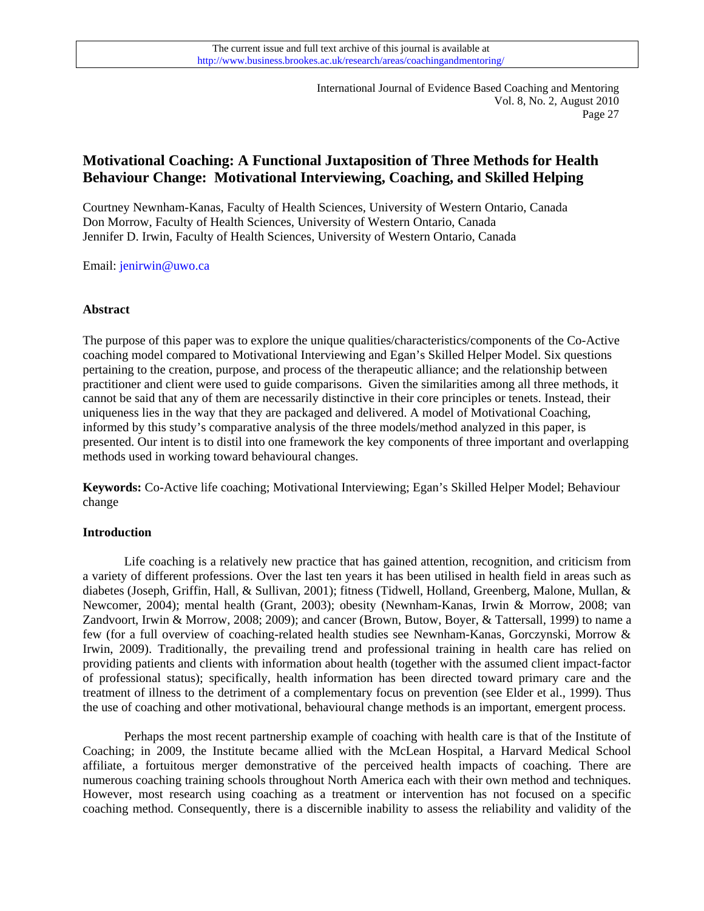# **Motivational Coaching: A Functional Juxtaposition of Three Methods for Health Behaviour Change: Motivational Interviewing, Coaching, and Skilled Helping**

Courtney Newnham-Kanas, Faculty of Health Sciences, University of Western Ontario, Canada Don Morrow, Faculty of Health Sciences, University of Western Ontario, Canada Jennifer D. Irwin, Faculty of Health Sciences, University of Western Ontario, Canada

Email: [jenirwin@uwo.ca](mailto:jenirwin@uwo.ca)

## **Abstract**

The purpose of this paper was to explore the unique qualities/characteristics/components of the Co-Active coaching model compared to Motivational Interviewing and Egan's Skilled Helper Model. Six questions pertaining to the creation, purpose, and process of the therapeutic alliance; and the relationship between practitioner and client were used to guide comparisons. Given the similarities among all three methods, it cannot be said that any of them are necessarily distinctive in their core principles or tenets. Instead, their uniqueness lies in the way that they are packaged and delivered. A model of Motivational Coaching, informed by this study's comparative analysis of the three models/method analyzed in this paper, is presented. Our intent is to distil into one framework the key components of three important and overlapping methods used in working toward behavioural changes.

**Keywords:** Co-Active life coaching; Motivational Interviewing; Egan's Skilled Helper Model; Behaviour change

#### **Introduction**

 Life coaching is a relatively new practice that has gained attention, recognition, and criticism from a variety of different professions. Over the last ten years it has been utilised in health field in areas such as diabetes (Joseph, Griffin, Hall, & Sullivan, 2001); fitness (Tidwell, Holland, Greenberg, Malone, Mullan, & Newcomer, 2004); mental health (Grant, 2003); obesity (Newnham-Kanas, Irwin & Morrow, 2008; [van](http://www.possibilitieslifecoaching.com/documents/vanZandvoortIrwinMorrowInternationCoachingPsychReview.pdf)  [Zandvoort, Irwin & Morrow, 2008](http://www.possibilitieslifecoaching.com/documents/vanZandvoortIrwinMorrowInternationCoachingPsychReview.pdf); 2009); and cancer (Brown, Butow, Boyer, & Tattersall, 1999) to name a few (for a full overview of coaching-related health studies see Newnham-Kanas, Gorczynski, Morrow & Irwin, 2009). Traditionally, the prevailing trend and professional training in health care has relied on providing patients and clients with information about health (together with the assumed client impact-factor of professional status); specifically, health information has been directed toward primary care and the treatment of illness to the detriment of a complementary focus on prevention (see Elder et al., 1999). Thus the use of coaching and other motivational, behavioural change methods is an important, emergent process.

 Perhaps the most recent partnership example of coaching with health care is that of the Institute of Coaching; in 2009, the Institute became allied with the McLean Hospital, a Harvard Medical School affiliate, a fortuitous merger demonstrative of the perceived health impacts of coaching. There are numerous coaching training schools throughout North America each with their own method and techniques. However, most research using coaching as a treatment or intervention has not focused on a specific coaching method. Consequently, there is a discernible inability to assess the reliability and validity of the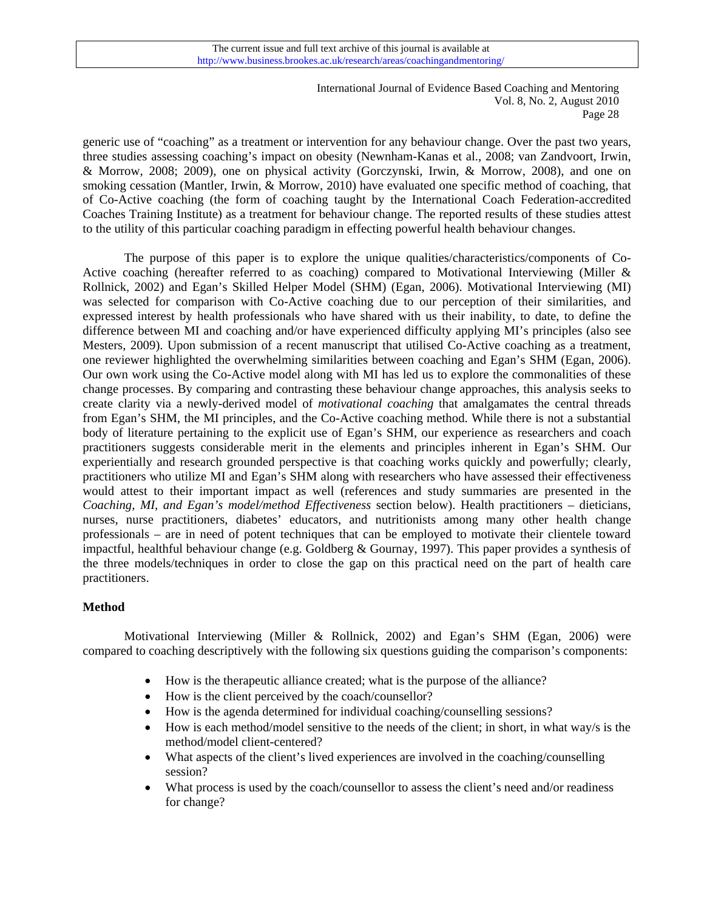generic use of "coaching" as a treatment or intervention for any behaviour change. Over the past two years, three studies assessing coaching's impact on obesity (Newnham-Kanas et al., 2008; van Zandvoort, Irwin, & Morrow, 2008; 2009), one on physical activity (Gorczynski, Irwin, & Morrow, 2008), and one on smoking cessation (Mantler, Irwin, & Morrow, 2010) have evaluated one specific method of coaching, that of Co-Active coaching (the form of coaching taught by the International Coach Federation-accredited Coaches Training Institute) as a treatment for behaviour change. The reported results of these studies attest to the utility of this particular coaching paradigm in effecting powerful health behaviour changes.

The purpose of this paper is to explore the unique qualities/characteristics/components of Co-Active coaching (hereafter referred to as coaching) compared to Motivational Interviewing (Miller & Rollnick, 2002) and Egan's Skilled Helper Model (SHM) (Egan, 2006). Motivational Interviewing (MI) was selected for comparison with Co-Active coaching due to our perception of their similarities, and expressed interest by health professionals who have shared with us their inability, to date, to define the difference between MI and coaching and/or have experienced difficulty applying MI's principles (also see Mesters, 2009). Upon submission of a recent manuscript that utilised Co-Active coaching as a treatment, one reviewer highlighted the overwhelming similarities between coaching and Egan's SHM (Egan, 2006). Our own work using the Co-Active model along with MI has led us to explore the commonalities of these change processes. By comparing and contrasting these behaviour change approaches, this analysis seeks to create clarity via a newly-derived model of *motivational coaching* that amalgamates the central threads from Egan's SHM, the MI principles, and the Co-Active coaching method. While there is not a substantial body of literature pertaining to the explicit use of Egan's SHM, our experience as researchers and coach practitioners suggests considerable merit in the elements and principles inherent in Egan's SHM. Our experientially and research grounded perspective is that coaching works quickly and powerfully; clearly, practitioners who utilize MI and Egan's SHM along with researchers who have assessed their effectiveness would attest to their important impact as well (references and study summaries are presented in the *Coaching, MI, and Egan's model/method Effectiveness* section below). Health practitioners – dieticians, nurses, nurse practitioners, diabetes' educators, and nutritionists among many other health change professionals – are in need of potent techniques that can be employed to motivate their clientele toward impactful, healthful behaviour change (e.g. Goldberg & Gournay, 1997). This paper provides a synthesis of the three models/techniques in order to close the gap on this practical need on the part of health care practitioners.

## **Method**

 Motivational Interviewing (Miller & Rollnick, 2002) and Egan's SHM (Egan, 2006) were compared to coaching descriptively with the following six questions guiding the comparison's components:

- How is the therapeutic alliance created; what is the purpose of the alliance?
- How is the client perceived by the coach/counsellor?
- How is the agenda determined for individual coaching/counselling sessions?
- How is each method/model sensitive to the needs of the client; in short, in what way/s is the method/model client-centered?
- What aspects of the client's lived experiences are involved in the coaching/counselling session?
- What process is used by the coach/counsellor to assess the client's need and/or readiness for change?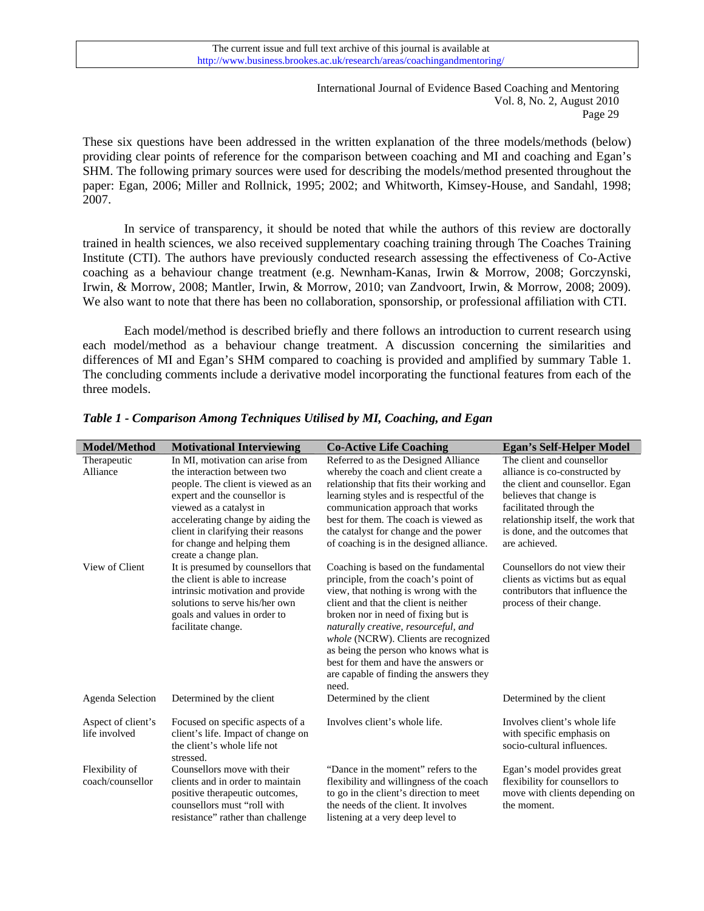These six questions have been addressed in the written explanation of the three models/methods (below) providing clear points of reference for the comparison between coaching and MI and coaching and Egan's SHM. The following primary sources were used for describing the models/method presented throughout the paper: Egan, 2006; Miller and Rollnick, 1995; 2002; and Whitworth, Kimsey-House, and Sandahl, 1998; 2007.

In service of transparency, it should be noted that while the authors of this review are doctorally trained in health sciences, we also received supplementary coaching training through The Coaches Training Institute (CTI). The authors have previously conducted research assessing the effectiveness of Co-Active coaching as a behaviour change treatment (e.g. Newnham-Kanas, Irwin & Morrow, 2008; Gorczynski, Irwin, & Morrow, 2008; Mantler, Irwin, & Morrow, 2010; van Zandvoort, Irwin, & Morrow, 2008; 2009). We also want to note that there has been no collaboration, sponsorship, or professional affiliation with CTI.

 Each model/method is described briefly and there follows an introduction to current research using each model/method as a behaviour change treatment. A discussion concerning the similarities and differences of MI and Egan's SHM compared to coaching is provided and amplified by summary Table 1. The concluding comments include a derivative model incorporating the functional features from each of the three models.

| Model/Method                        | <b>Motivational Interviewing</b>                                                                                                                                                                 | <b>Co-Active Life Coaching</b>                                                                                                                                                                                                                                                                                                                                         | <b>Egan's Self-Helper Model</b>                                                                                                 |
|-------------------------------------|--------------------------------------------------------------------------------------------------------------------------------------------------------------------------------------------------|------------------------------------------------------------------------------------------------------------------------------------------------------------------------------------------------------------------------------------------------------------------------------------------------------------------------------------------------------------------------|---------------------------------------------------------------------------------------------------------------------------------|
| Therapeutic                         | In MI, motivation can arise from                                                                                                                                                                 | Referred to as the Designed Alliance                                                                                                                                                                                                                                                                                                                                   | The client and counsellor                                                                                                       |
| Alliance                            | the interaction between two                                                                                                                                                                      | whereby the coach and client create a                                                                                                                                                                                                                                                                                                                                  | alliance is co-constructed by                                                                                                   |
|                                     | people. The client is viewed as an                                                                                                                                                               | relationship that fits their working and                                                                                                                                                                                                                                                                                                                               | the client and counsellor. Egan                                                                                                 |
|                                     | expert and the counsellor is                                                                                                                                                                     | learning styles and is respectful of the                                                                                                                                                                                                                                                                                                                               | believes that change is                                                                                                         |
|                                     | viewed as a catalyst in                                                                                                                                                                          | communication approach that works                                                                                                                                                                                                                                                                                                                                      | facilitated through the                                                                                                         |
|                                     | accelerating change by aiding the                                                                                                                                                                | best for them. The coach is viewed as                                                                                                                                                                                                                                                                                                                                  | relationship itself, the work that                                                                                              |
|                                     | client in clarifying their reasons                                                                                                                                                               | the catalyst for change and the power                                                                                                                                                                                                                                                                                                                                  | is done, and the outcomes that                                                                                                  |
|                                     | for change and helping them<br>create a change plan.                                                                                                                                             | of coaching is in the designed alliance.                                                                                                                                                                                                                                                                                                                               | are achieved.                                                                                                                   |
| View of Client                      | It is presumed by counsellors that<br>the client is able to increase<br>intrinsic motivation and provide<br>solutions to serve his/her own<br>goals and values in order to<br>facilitate change. | Coaching is based on the fundamental<br>principle, from the coach's point of<br>view, that nothing is wrong with the<br>client and that the client is neither<br>broken nor in need of fixing but is<br>naturally creative, resourceful, and<br>whole (NCRW). Clients are recognized<br>as being the person who knows what is<br>best for them and have the answers or | Counsellors do not view their<br>clients as victims but as equal<br>contributors that influence the<br>process of their change. |
|                                     |                                                                                                                                                                                                  | are capable of finding the answers they<br>need.                                                                                                                                                                                                                                                                                                                       |                                                                                                                                 |
| Agenda Selection                    | Determined by the client                                                                                                                                                                         | Determined by the client                                                                                                                                                                                                                                                                                                                                               | Determined by the client                                                                                                        |
| Aspect of client's<br>life involved | Focused on specific aspects of a<br>client's life. Impact of change on<br>the client's whole life not<br>stressed.                                                                               | Involves client's whole life.                                                                                                                                                                                                                                                                                                                                          | Involves client's whole life<br>with specific emphasis on<br>socio-cultural influences.                                         |
| Flexibility of<br>coach/counsellor  | Counsellors move with their<br>clients and in order to maintain<br>positive therapeutic outcomes,<br>counsellors must "roll with<br>resistance" rather than challenge                            | "Dance in the moment" refers to the<br>flexibility and willingness of the coach<br>to go in the client's direction to meet<br>the needs of the client. It involves<br>listening at a very deep level to                                                                                                                                                                | Egan's model provides great<br>flexibility for counsellors to<br>move with clients depending on<br>the moment.                  |

*Table 1 - Comparison Among Techniques Utilised by MI, Coaching, and Egan*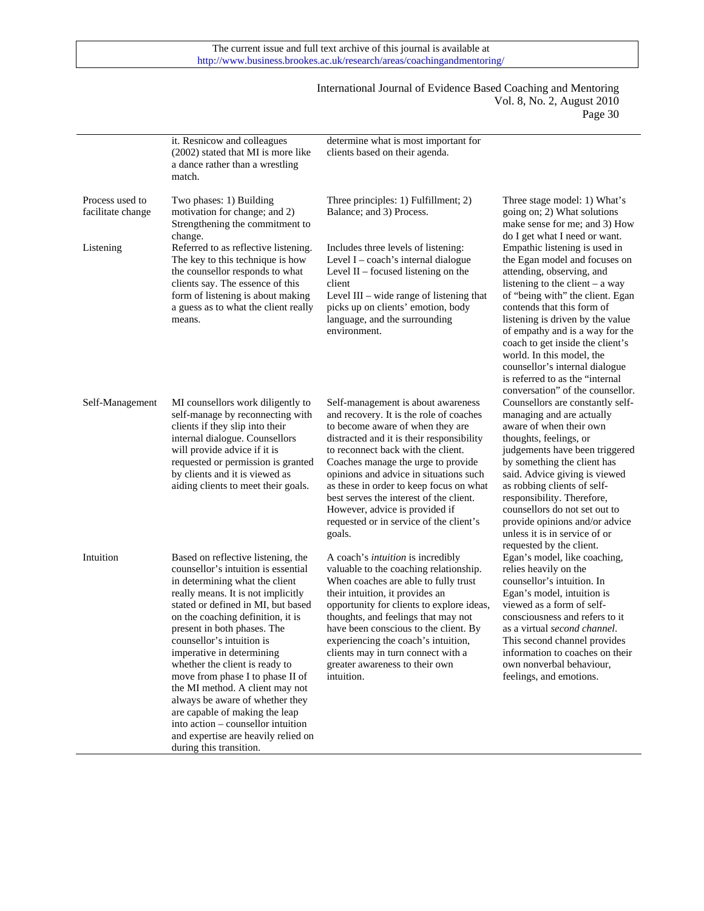$\overline{a}$ 

#### International Journal of Evidence Based Coaching and Mentoring Vol. 8, No. 2, August 2010 Page 30

|                                      | it. Resnicow and colleagues<br>(2002) stated that MI is more like<br>a dance rather than a wrestling<br>match.                                                                                                                                                                                                                                                                                                                                                                                                                                                                                              | determine what is most important for<br>clients based on their agenda.                                                                                                                                                                                                                                                                                                                                                                                            |                                                                                                                                                                                                                                                                                                                                                                                                                                                      |
|--------------------------------------|-------------------------------------------------------------------------------------------------------------------------------------------------------------------------------------------------------------------------------------------------------------------------------------------------------------------------------------------------------------------------------------------------------------------------------------------------------------------------------------------------------------------------------------------------------------------------------------------------------------|-------------------------------------------------------------------------------------------------------------------------------------------------------------------------------------------------------------------------------------------------------------------------------------------------------------------------------------------------------------------------------------------------------------------------------------------------------------------|------------------------------------------------------------------------------------------------------------------------------------------------------------------------------------------------------------------------------------------------------------------------------------------------------------------------------------------------------------------------------------------------------------------------------------------------------|
| Process used to<br>facilitate change | Two phases: 1) Building<br>motivation for change; and 2)<br>Strengthening the commitment to<br>change.                                                                                                                                                                                                                                                                                                                                                                                                                                                                                                      | Three principles: 1) Fulfillment; 2)<br>Balance; and 3) Process.                                                                                                                                                                                                                                                                                                                                                                                                  | Three stage model: 1) What's<br>going on; 2) What solutions<br>make sense for me; and 3) How<br>do I get what I need or want.                                                                                                                                                                                                                                                                                                                        |
| Listening                            | Referred to as reflective listening.<br>The key to this technique is how<br>the counsellor responds to what<br>clients say. The essence of this<br>form of listening is about making<br>a guess as to what the client really<br>means.                                                                                                                                                                                                                                                                                                                                                                      | Includes three levels of listening:<br>Level I - coach's internal dialogue<br>Level $II$ – focused listening on the<br>client<br>Level III – wide range of listening that<br>picks up on clients' emotion, body<br>language, and the surrounding<br>environment.                                                                                                                                                                                                  | Empathic listening is used in<br>the Egan model and focuses on<br>attending, observing, and<br>listening to the client $-$ a way<br>of "being with" the client. Egan<br>contends that this form of<br>listening is driven by the value<br>of empathy and is a way for the<br>coach to get inside the client's<br>world. In this model, the<br>counsellor's internal dialogue<br>is referred to as the "internal"<br>conversation" of the counsellor. |
| Self-Management                      | MI counsellors work diligently to<br>self-manage by reconnecting with<br>clients if they slip into their<br>internal dialogue. Counsellors<br>will provide advice if it is<br>requested or permission is granted<br>by clients and it is viewed as<br>aiding clients to meet their goals.                                                                                                                                                                                                                                                                                                                   | Self-management is about awareness<br>and recovery. It is the role of coaches<br>to become aware of when they are<br>distracted and it is their responsibility<br>to reconnect back with the client.<br>Coaches manage the urge to provide<br>opinions and advice in situations such<br>as these in order to keep focus on what<br>best serves the interest of the client.<br>However, advice is provided if<br>requested or in service of the client's<br>goals. | Counsellors are constantly self-<br>managing and are actually<br>aware of when their own<br>thoughts, feelings, or<br>judgements have been triggered<br>by something the client has<br>said. Advice giving is viewed<br>as robbing clients of self-<br>responsibility. Therefore,<br>counsellors do not set out to<br>provide opinions and/or advice<br>unless it is in service of or<br>requested by the client.                                    |
| Intuition                            | Based on reflective listening, the<br>counsellor's intuition is essential<br>in determining what the client<br>really means. It is not implicitly<br>stated or defined in MI, but based<br>on the coaching definition, it is<br>present in both phases. The<br>counsellor's intuition is<br>imperative in determining<br>whether the client is ready to<br>move from phase I to phase II of<br>the MI method. A client may not<br>always be aware of whether they<br>are capable of making the leap<br>into action – counsellor intuition<br>and expertise are heavily relied on<br>during this transition. | A coach's <i>intuition</i> is incredibly<br>valuable to the coaching relationship.<br>When coaches are able to fully trust<br>their intuition, it provides an<br>opportunity for clients to explore ideas,<br>thoughts, and feelings that may not<br>have been conscious to the client. By<br>experiencing the coach's intuition,<br>clients may in turn connect with a<br>greater awareness to their own<br>intuition.                                           | Egan's model, like coaching,<br>relies heavily on the<br>counsellor's intuition. In<br>Egan's model, intuition is<br>viewed as a form of self-<br>consciousness and refers to it<br>as a virtual second channel.<br>This second channel provides<br>information to coaches on their<br>own nonverbal behaviour,<br>feelings, and emotions.                                                                                                           |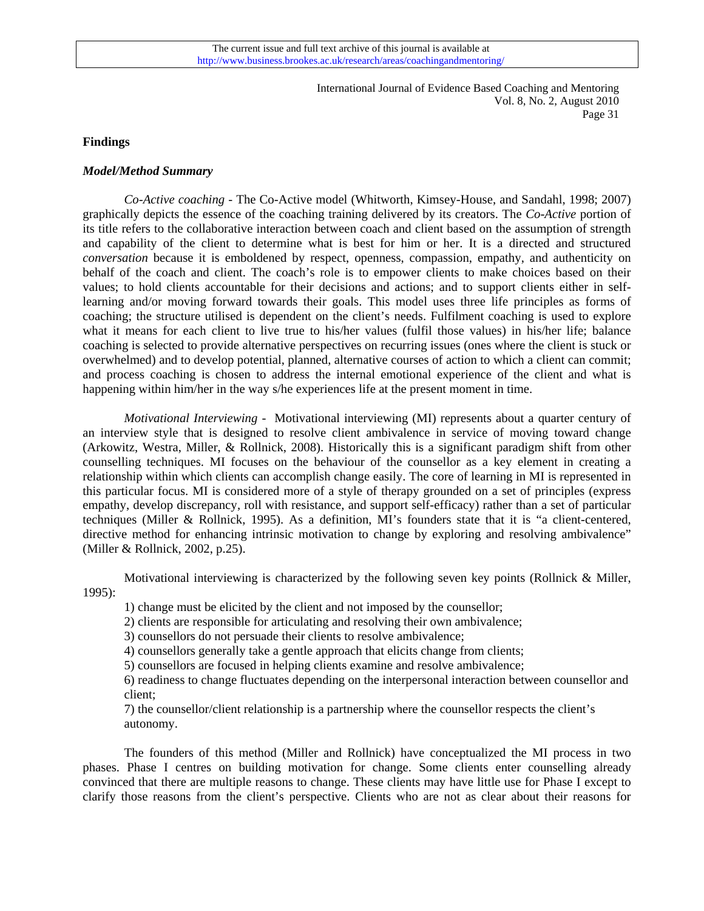#### **Findings**

#### *Model/Method Summary*

 *Co-Active coaching -* The Co-Active model (Whitworth, Kimsey-House, and Sandahl, 1998; 2007) graphically depicts the essence of the coaching training delivered by its creators. The *Co-Active* portion of its title refers to the collaborative interaction between coach and client based on the assumption of strength and capability of the client to determine what is best for him or her. It is a directed and structured *conversation* because it is emboldened by respect, openness, compassion, empathy, and authenticity on behalf of the coach and client. The coach's role is to empower clients to make choices based on their values; to hold clients accountable for their decisions and actions; and to support clients either in selflearning and/or moving forward towards their goals. This model uses three life principles as forms of coaching; the structure utilised is dependent on the client's needs. Fulfilment coaching is used to explore what it means for each client to live true to his/her values (fulfil those values) in his/her life; balance coaching is selected to provide alternative perspectives on recurring issues (ones where the client is stuck or overwhelmed) and to develop potential, planned, alternative courses of action to which a client can commit; and process coaching is chosen to address the internal emotional experience of the client and what is happening within him/her in the way s/he experiences life at the present moment in time.

 *Motivational Interviewing -* Motivational interviewing (MI) represents about a quarter century of an interview style that is designed to resolve client ambivalence in service of moving toward change (Arkowitz, Westra, Miller, & Rollnick, 2008). Historically this is a significant paradigm shift from other counselling techniques. MI focuses on the behaviour of the counsellor as a key element in creating a relationship within which clients can accomplish change easily. The core of learning in MI is represented in this particular focus. MI is considered more of a style of therapy grounded on a set of principles (express empathy, develop discrepancy, roll with resistance, and support self-efficacy) rather than a set of particular techniques (Miller & Rollnick, 1995). As a definition, MI's founders state that it is "a client-centered, directive method for enhancing intrinsic motivation to change by exploring and resolving ambivalence" (Miller & Rollnick, 2002, p.25).

Motivational interviewing is characterized by the following seven key points (Rollnick & Miller, 1995):

1) change must be elicited by the client and not imposed by the counsellor;

2) clients are responsible for articulating and resolving their own ambivalence;

3) counsellors do not persuade their clients to resolve ambivalence;

4) counsellors generally take a gentle approach that elicits change from clients;

5) counsellors are focused in helping clients examine and resolve ambivalence;

6) readiness to change fluctuates depending on the interpersonal interaction between counsellor and client;

7) the counsellor/client relationship is a partnership where the counsellor respects the client's autonomy.

The founders of this method (Miller and Rollnick) have conceptualized the MI process in two phases. Phase I centres on building motivation for change. Some clients enter counselling already convinced that there are multiple reasons to change. These clients may have little use for Phase I except to clarify those reasons from the client's perspective. Clients who are not as clear about their reasons for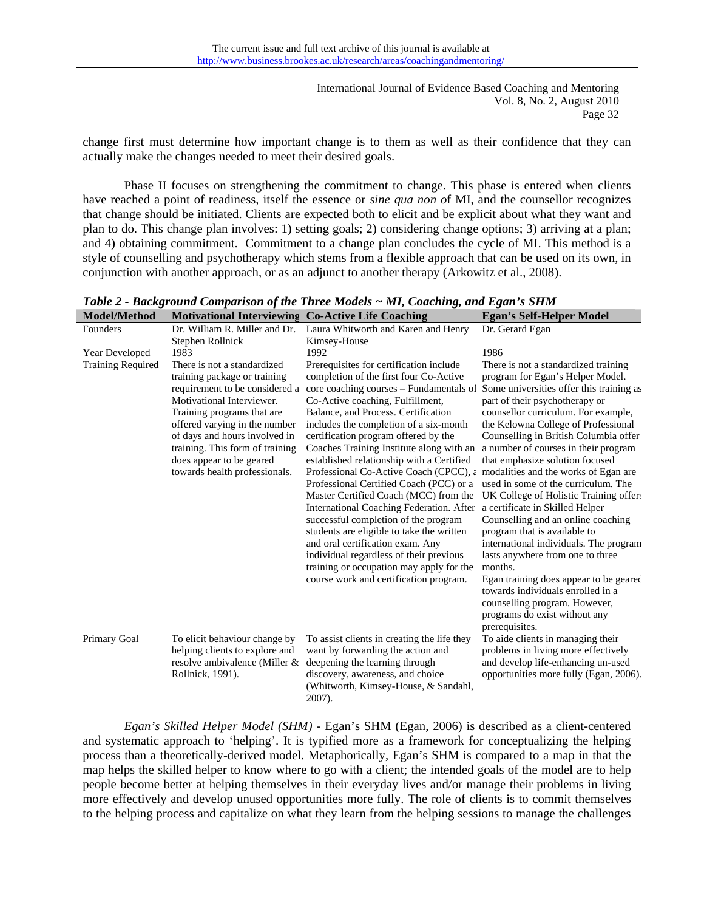change first must determine how important change is to them as well as their confidence that they can actually make the changes needed to meet their desired goals.

 Phase II focuses on strengthening the commitment to change. This phase is entered when clients have reached a point of readiness, itself the essence or *sine qua non o*f MI, and the counsellor recognizes that change should be initiated. Clients are expected both to elicit and be explicit about what they want and plan to do. This change plan involves: 1) setting goals; 2) considering change options; 3) arriving at a plan; and 4) obtaining commitment. Commitment to a change plan concludes the cycle of MI. This method is a style of counselling and psychotherapy which stems from a flexible approach that can be used on its own, in conjunction with another approach, or as an adjunct to another therapy (Arkowitz et al., 2008).

*Table 2 - Background Comparison of the Three Models ~ MI, Coaching, and Egan's SHM* 

| <b>Model/Method</b>      | <b>Motivational Interviewing Co-Active Life Coaching</b> |                                                 | <b>Egan's Self-Helper Model</b>          |
|--------------------------|----------------------------------------------------------|-------------------------------------------------|------------------------------------------|
| Founders                 | Dr. William R. Miller and Dr.                            | Laura Whitworth and Karen and Henry             | Dr. Gerard Egan                          |
|                          | Stephen Rollnick                                         | Kimsey-House                                    |                                          |
| Year Developed           | 1983                                                     | 1992                                            | 1986                                     |
| <b>Training Required</b> | There is not a standardized                              | Prerequisites for certification include         | There is not a standardized training     |
|                          | training package or training                             | completion of the first four Co-Active          | program for Egan's Helper Model.         |
|                          | requirement to be considered a                           | core coaching courses – Fundamentals of         | Some universities offer this training as |
|                          | Motivational Interviewer.                                | Co-Active coaching, Fulfillment,                | part of their psychotherapy or           |
|                          | Training programs that are.                              | Balance, and Process. Certification             | counsellor curriculum. For example,      |
|                          | offered varying in the number                            | includes the completion of a six-month          | the Kelowna College of Professional      |
|                          | of days and hours involved in                            | certification program offered by the            | Counselling in British Columbia offer    |
|                          | training. This form of training                          | Coaches Training Institute along with an        | a number of courses in their program     |
|                          | does appear to be geared                                 | established relationship with a Certified       | that emphasize solution focused          |
|                          | towards health professionals.                            | Professional Co-Active Coach (CPCC), $\epsilon$ | modalities and the works of Egan are.    |
|                          |                                                          | Professional Certified Coach (PCC) or a         | used in some of the curriculum. The      |
|                          |                                                          | Master Certified Coach (MCC) from the           | UK College of Holistic Training offers   |
|                          |                                                          | International Coaching Federation. After        | a certificate in Skilled Helper          |
|                          |                                                          | successful completion of the program            | Counselling and an online coaching       |
|                          |                                                          | students are eligible to take the written       | program that is available to             |
|                          |                                                          | and oral certification exam. Any                | international individuals. The program   |
|                          |                                                          | individual regardless of their previous         | lasts anywhere from one to three         |
|                          |                                                          | training or occupation may apply for the        | months.                                  |
|                          |                                                          | course work and certification program.          | Egan training does appear to be geared   |
|                          |                                                          |                                                 | towards individuals enrolled in a        |
|                          |                                                          |                                                 | counselling program. However,            |
|                          |                                                          |                                                 | programs do exist without any            |
|                          |                                                          |                                                 | prerequisites.                           |
| Primary Goal             | To elicit behaviour change by                            | To assist clients in creating the life they     | To aide clients in managing their        |
|                          | helping clients to explore and                           | want by forwarding the action and               | problems in living more effectively      |
|                          | resolve ambivalence (Miller &                            | deepening the learning through                  | and develop life-enhancing un-used       |
|                          | Rollnick, 1991).                                         | discovery, awareness, and choice                | opportunities more fully (Egan, 2006).   |
|                          |                                                          | (Whitworth, Kimsey-House, & Sandahl,            |                                          |
|                          |                                                          | 2007).                                          |                                          |

 *Egan's Skilled Helper Model (SHM) -* Egan's SHM (Egan, 2006) is described as a client-centered and systematic approach to 'helping'. It is typified more as a framework for conceptualizing the helping process than a theoretically-derived model. Metaphorically, Egan's SHM is compared to a map in that the map helps the skilled helper to know where to go with a client; the intended goals of the model are to help people become better at helping themselves in their everyday lives and/or manage their problems in living more effectively and develop unused opportunities more fully. The role of clients is to commit themselves to the helping process and capitalize on what they learn from the helping sessions to manage the challenges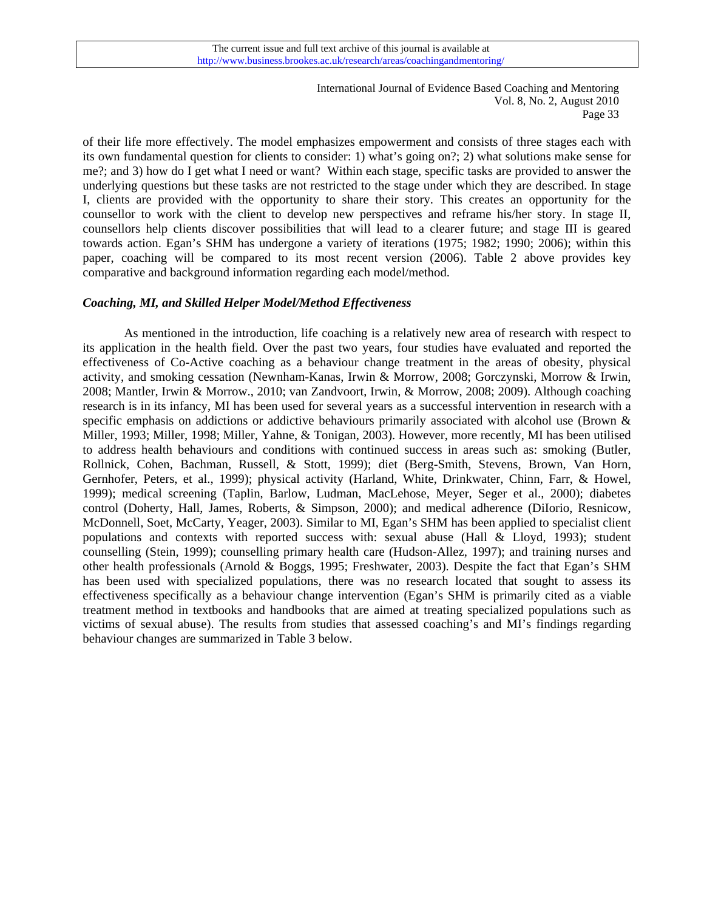of their life more effectively. The model emphasizes empowerment and consists of three stages each with its own fundamental question for clients to consider: 1) what's going on?; 2) what solutions make sense for me?; and 3) how do I get what I need or want? Within each stage, specific tasks are provided to answer the underlying questions but these tasks are not restricted to the stage under which they are described. In stage I, clients are provided with the opportunity to share their story. This creates an opportunity for the counsellor to work with the client to develop new perspectives and reframe his/her story. In stage II, counsellors help clients discover possibilities that will lead to a clearer future; and stage III is geared towards action. Egan's SHM has undergone a variety of iterations (1975; 1982; 1990; 2006); within this paper, coaching will be compared to its most recent version (2006). Table 2 above provides key comparative and background information regarding each model/method.

#### *Coaching, MI, and Skilled Helper Model/Method Effectiveness*

 As mentioned in the introduction, life coaching is a relatively new area of research with respect to its application in the health field. Over the past two years, four studies have evaluated and reported the effectiveness of Co-Active coaching as a behaviour change treatment in the areas of obesity, physical activity, and smoking cessation (Newnham-Kanas, Irwin & Morrow, 2008; Gorczynski, Morrow & Irwin, 2008; Mantler, Irwin & Morrow., 2010; van Zandvoort, Irwin, & Morrow, 2008; 2009). Although coaching research is in its infancy, MI has been used for several years as a successful intervention in research with a specific emphasis on addictions or addictive behaviours primarily associated with alcohol use (Brown & Miller, 1993; Miller, 1998; Miller, Yahne, & Tonigan, 2003). However, more recently, MI has been utilised to address health behaviours and conditions with continued success in areas such as: smoking (Butler, Rollnick, Cohen, Bachman, Russell, & Stott, 1999); diet (Berg-Smith, Stevens, Brown, Van Horn, Gernhofer, Peters, et al., 1999); physical activity (Harland, White, Drinkwater, Chinn, Farr, & Howel, 1999); medical screening (Taplin, Barlow, Ludman, MacLehose, Meyer, Seger et al., 2000); diabetes control (Doherty, Hall, James, Roberts, & Simpson, 2000); and medical adherence (DiIorio, Resnicow, McDonnell, Soet, McCarty, Yeager, 2003). Similar to MI, Egan's SHM has been applied to specialist client populations and contexts with reported success with: sexual abuse (Hall & Lloyd, 1993); student counselling (Stein, 1999); counselling primary health care (Hudson-Allez, 1997); and training nurses and other health professionals (Arnold & Boggs, 1995; Freshwater, 2003). Despite the fact that Egan's SHM has been used with specialized populations, there was no research located that sought to assess its effectiveness specifically as a behaviour change intervention (Egan's SHM is primarily cited as a viable treatment method in textbooks and handbooks that are aimed at treating specialized populations such as victims of sexual abuse). The results from studies that assessed coaching's and MI's findings regarding behaviour changes are summarized in Table 3 below.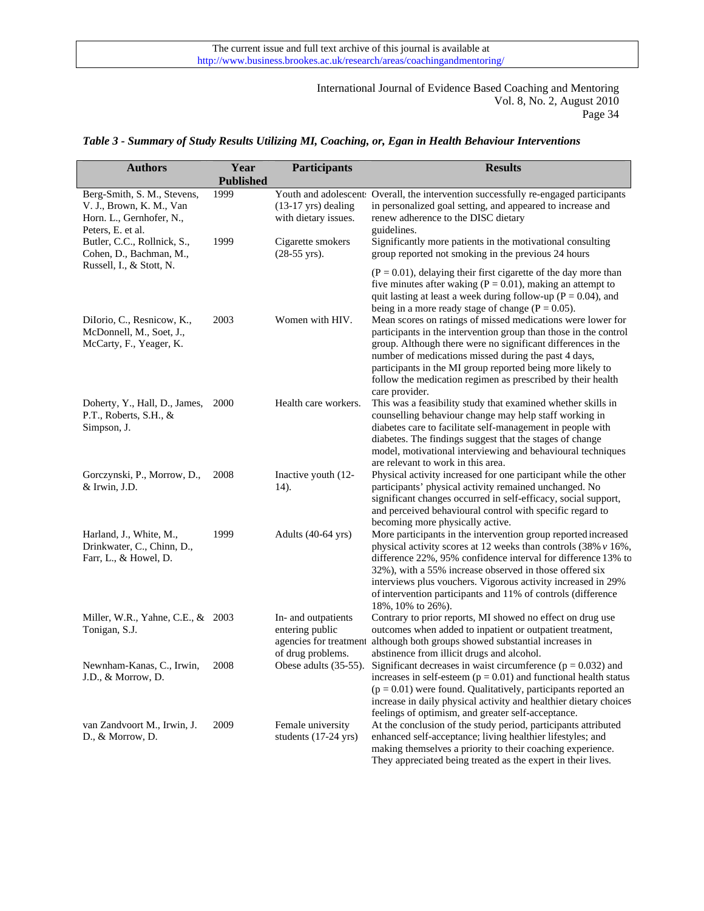## *Table 3 - Summary of Study Results Utilizing MI, Coaching, or, Egan in Health Behaviour Interventions*

| <b>Authors</b>                                                                                           | Year             | Participants                                                                          | <b>Results</b>                                                                                                                                                                                                                                                                                                                                                                                                      |
|----------------------------------------------------------------------------------------------------------|------------------|---------------------------------------------------------------------------------------|---------------------------------------------------------------------------------------------------------------------------------------------------------------------------------------------------------------------------------------------------------------------------------------------------------------------------------------------------------------------------------------------------------------------|
|                                                                                                          | <b>Published</b> |                                                                                       |                                                                                                                                                                                                                                                                                                                                                                                                                     |
| Berg-Smith, S. M., Stevens,<br>V. J., Brown, K. M., Van<br>Horn. L., Gernhofer, N.,<br>Peters, E. et al. | 1999             | $(13-17 \text{ yrs})$ dealing<br>with dietary issues.                                 | Youth and adolescent Overall, the intervention successfully re-engaged participants<br>in personalized goal setting, and appeared to increase and<br>renew adherence to the DISC dietary<br>guidelines.                                                                                                                                                                                                             |
| Butler, C.C., Rollnick, S.,<br>Cohen, D., Bachman, M.,<br>Russell, I., & Stott, N.                       | 1999             | Cigarette smokers<br>$(28-55 \text{ yrs}).$                                           | Significantly more patients in the motivational consulting<br>group reported not smoking in the previous 24 hours                                                                                                                                                                                                                                                                                                   |
| DiIorio, C., Resnicow, K.,<br>McDonnell, M., Soet, J.,                                                   | 2003             | Women with HIV.                                                                       | $(P = 0.01)$ , delaying their first cigarette of the day more than<br>five minutes after waking ( $P = 0.01$ ), making an attempt to<br>quit lasting at least a week during follow-up ( $P = 0.04$ ), and<br>being in a more ready stage of change ( $P = 0.05$ ).<br>Mean scores on ratings of missed medications were lower for<br>participants in the intervention group than those in the control               |
| McCarty, F., Yeager, K.                                                                                  |                  |                                                                                       | group. Although there were no significant differences in the<br>number of medications missed during the past 4 days,<br>participants in the MI group reported being more likely to<br>follow the medication regimen as prescribed by their health<br>care provider.                                                                                                                                                 |
| Doherty, Y., Hall, D., James,<br>P.T., Roberts, S.H., &<br>Simpson, J.                                   | 2000             | Health care workers.                                                                  | This was a feasibility study that examined whether skills in<br>counselling behaviour change may help staff working in<br>diabetes care to facilitate self-management in people with<br>diabetes. The findings suggest that the stages of change<br>model, motivational interviewing and behavioural techniques<br>are relevant to work in this area.                                                               |
| Gorczynski, P., Morrow, D.,<br>& Irwin, J.D.                                                             | 2008             | Inactive youth (12-<br>14).                                                           | Physical activity increased for one participant while the other<br>participants' physical activity remained unchanged. No<br>significant changes occurred in self-efficacy, social support,<br>and perceived behavioural control with specific regard to<br>becoming more physically active.                                                                                                                        |
| Harland, J., White, M.,<br>Drinkwater, C., Chinn, D.,<br>Farr, L., & Howel, D.                           | 1999             | Adults (40-64 yrs)                                                                    | More participants in the intervention group reported increased<br>physical activity scores at 12 weeks than controls (38% $v$ 16%,<br>difference 22%, 95% confidence interval for difference 13% to<br>32%), with a 55% increase observed in those offered six<br>interviews plus vouchers. Vigorous activity increased in 29%<br>of intervention participants and 11% of controls (difference<br>18%, 10% to 26%). |
| Miller, W.R., Yahne, C.E., & 2003<br>Tonigan, S.J.                                                       |                  | In- and outpatients<br>entering public<br>agencies for treatment<br>of drug problems. | Contrary to prior reports, MI showed no effect on drug use<br>outcomes when added to inpatient or outpatient treatment,<br>although both groups showed substantial increases in<br>abstinence from illicit drugs and alcohol.                                                                                                                                                                                       |
| Newnham-Kanas, C., Irwin,<br>J.D., & Morrow, D.                                                          | 2008             | Obese adults (35-55).                                                                 | Significant decreases in waist circumference ( $p = 0.032$ ) and<br>increases in self-esteem ( $p = 0.01$ ) and functional health status<br>$(p = 0.01)$ were found. Qualitatively, participants reported an<br>increase in daily physical activity and healthier dietary choices<br>feelings of optimism, and greater self-acceptance.                                                                             |
| van Zandvoort M., Irwin, J.<br>D., & Morrow, D.                                                          | 2009             | Female university<br>students (17-24 yrs)                                             | At the conclusion of the study period, participants attributed<br>enhanced self-acceptance; living healthier lifestyles; and<br>making themselves a priority to their coaching experience.<br>They appreciated being treated as the expert in their lives.                                                                                                                                                          |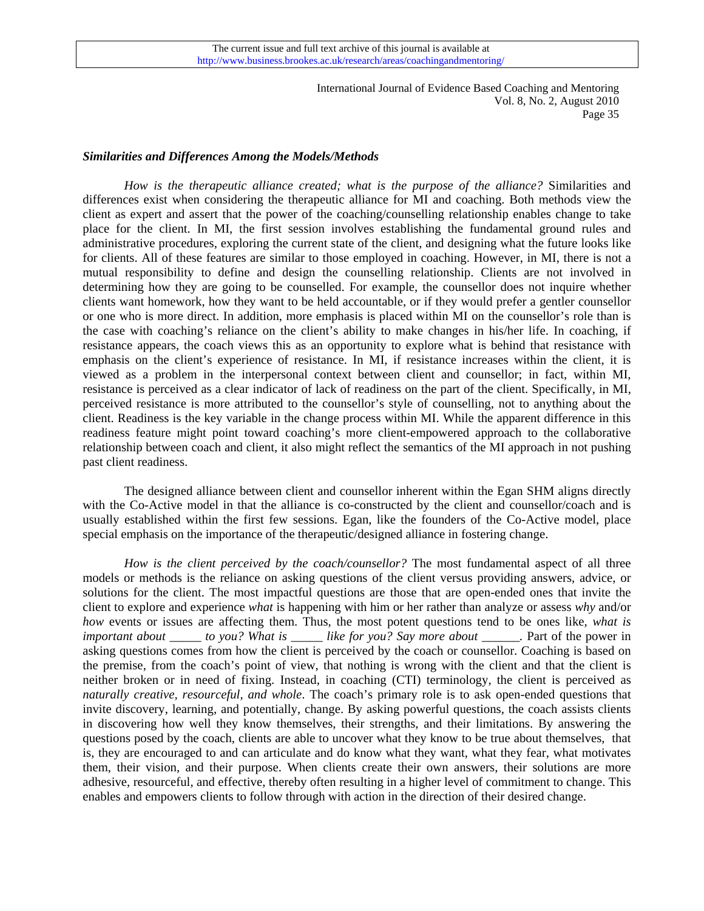## *Similarities and Differences Among the Models/Methods*

*How is the therapeutic alliance created; what is the purpose of the alliance?* Similarities and differences exist when considering the therapeutic alliance for MI and coaching. Both methods view the client as expert and assert that the power of the coaching/counselling relationship enables change to take place for the client. In MI, the first session involves establishing the fundamental ground rules and administrative procedures, exploring the current state of the client, and designing what the future looks like for clients. All of these features are similar to those employed in coaching. However, in MI, there is not a mutual responsibility to define and design the counselling relationship. Clients are not involved in determining how they are going to be counselled. For example, the counsellor does not inquire whether clients want homework, how they want to be held accountable, or if they would prefer a gentler counsellor or one who is more direct. In addition, more emphasis is placed within MI on the counsellor's role than is the case with coaching's reliance on the client's ability to make changes in his/her life. In coaching, if resistance appears, the coach views this as an opportunity to explore what is behind that resistance with emphasis on the client's experience of resistance. In MI, if resistance increases within the client, it is viewed as a problem in the interpersonal context between client and counsellor; in fact, within MI, resistance is perceived as a clear indicator of lack of readiness on the part of the client. Specifically, in MI, perceived resistance is more attributed to the counsellor's style of counselling, not to anything about the client. Readiness is the key variable in the change process within MI. While the apparent difference in this readiness feature might point toward coaching's more client-empowered approach to the collaborative relationship between coach and client, it also might reflect the semantics of the MI approach in not pushing past client readiness.

 The designed alliance between client and counsellor inherent within the Egan SHM aligns directly with the Co-Active model in that the alliance is co-constructed by the client and counsellor/coach and is usually established within the first few sessions. Egan, like the founders of the Co-Active model, place special emphasis on the importance of the therapeutic/designed alliance in fostering change.

*How is the client perceived by the coach/counsellor?* The most fundamental aspect of all three models or methods is the reliance on asking questions of the client versus providing answers, advice, or solutions for the client. The most impactful questions are those that are open-ended ones that invite the client to explore and experience *what* is happening with him or her rather than analyze or assess *why* and/or *how* events or issues are affecting them. Thus, the most potent questions tend to be ones like, *what is important about \_\_\_\_\_ to you? What is \_\_\_\_\_ like for you? Say more about \_\_\_\_\_\_.* Part of the power in asking questions comes from how the client is perceived by the coach or counsellor. Coaching is based on the premise, from the coach's point of view, that nothing is wrong with the client and that the client is neither broken or in need of fixing. Instead, in coaching (CTI) terminology, the client is perceived as *naturally creative, resourceful, and whole*. The coach's primary role is to ask open-ended questions that invite discovery, learning, and potentially, change. By asking powerful questions, the coach assists clients in discovering how well they know themselves, their strengths, and their limitations. By answering the questions posed by the coach, clients are able to uncover what they know to be true about themselves, that is, they are encouraged to and can articulate and do know what they want, what they fear, what motivates them, their vision, and their purpose. When clients create their own answers, their solutions are more adhesive, resourceful, and effective, thereby often resulting in a higher level of commitment to change. This enables and empowers clients to follow through with action in the direction of their desired change.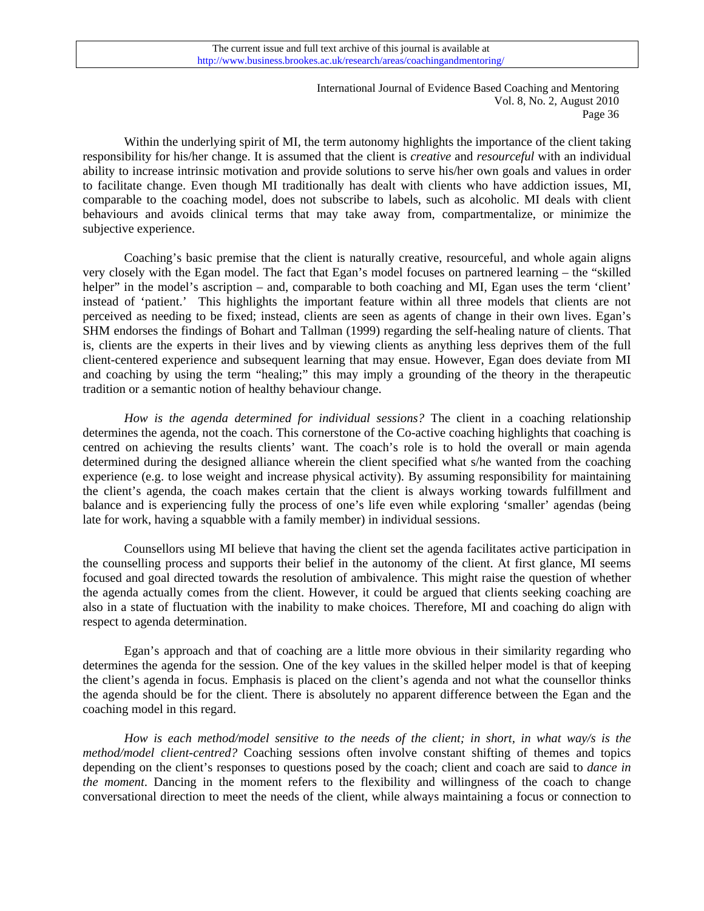Within the underlying spirit of MI, the term autonomy highlights the importance of the client taking responsibility for his/her change. It is assumed that the client is *creative* and *resourceful* with an individual ability to increase intrinsic motivation and provide solutions to serve his/her own goals and values in order to facilitate change. Even though MI traditionally has dealt with clients who have addiction issues, MI, comparable to the coaching model, does not subscribe to labels, such as alcoholic. MI deals with client behaviours and avoids clinical terms that may take away from, compartmentalize, or minimize the subjective experience.

Coaching's basic premise that the client is naturally creative, resourceful, and whole again aligns very closely with the Egan model. The fact that Egan's model focuses on partnered learning – the "skilled helper" in the model's ascription – and, comparable to both coaching and MI, Egan uses the term 'client' instead of 'patient.' This highlights the important feature within all three models that clients are not perceived as needing to be fixed; instead, clients are seen as agents of change in their own lives. Egan's SHM endorses the findings of Bohart and Tallman (1999) regarding the self-healing nature of clients. That is, clients are the experts in their lives and by viewing clients as anything less deprives them of the full client-centered experience and subsequent learning that may ensue. However, Egan does deviate from MI and coaching by using the term "healing;" this may imply a grounding of the theory in the therapeutic tradition or a semantic notion of healthy behaviour change.

*How is the agenda determined for individual sessions?* The client in a coaching relationship determines the agenda, not the coach. This cornerstone of the Co-active coaching highlights that coaching is centred on achieving the results clients' want. The coach's role is to hold the overall or main agenda determined during the designed alliance wherein the client specified what s/he wanted from the coaching experience (e.g. to lose weight and increase physical activity). By assuming responsibility for maintaining the client's agenda, the coach makes certain that the client is always working towards fulfillment and balance and is experiencing fully the process of one's life even while exploring 'smaller' agendas (being late for work, having a squabble with a family member) in individual sessions.

Counsellors using MI believe that having the client set the agenda facilitates active participation in the counselling process and supports their belief in the autonomy of the client. At first glance, MI seems focused and goal directed towards the resolution of ambivalence. This might raise the question of whether the agenda actually comes from the client. However, it could be argued that clients seeking coaching are also in a state of fluctuation with the inability to make choices. Therefore, MI and coaching do align with respect to agenda determination.

Egan's approach and that of coaching are a little more obvious in their similarity regarding who determines the agenda for the session. One of the key values in the skilled helper model is that of keeping the client's agenda in focus. Emphasis is placed on the client's agenda and not what the counsellor thinks the agenda should be for the client. There is absolutely no apparent difference between the Egan and the coaching model in this regard.

*How is each method/model sensitive to the needs of the client; in short, in what way/s is the method/model client-centred?* Coaching sessions often involve constant shifting of themes and topics depending on the client's responses to questions posed by the coach; client and coach are said to *dance in the moment*. Dancing in the moment refers to the flexibility and willingness of the coach to change conversational direction to meet the needs of the client, while always maintaining a focus or connection to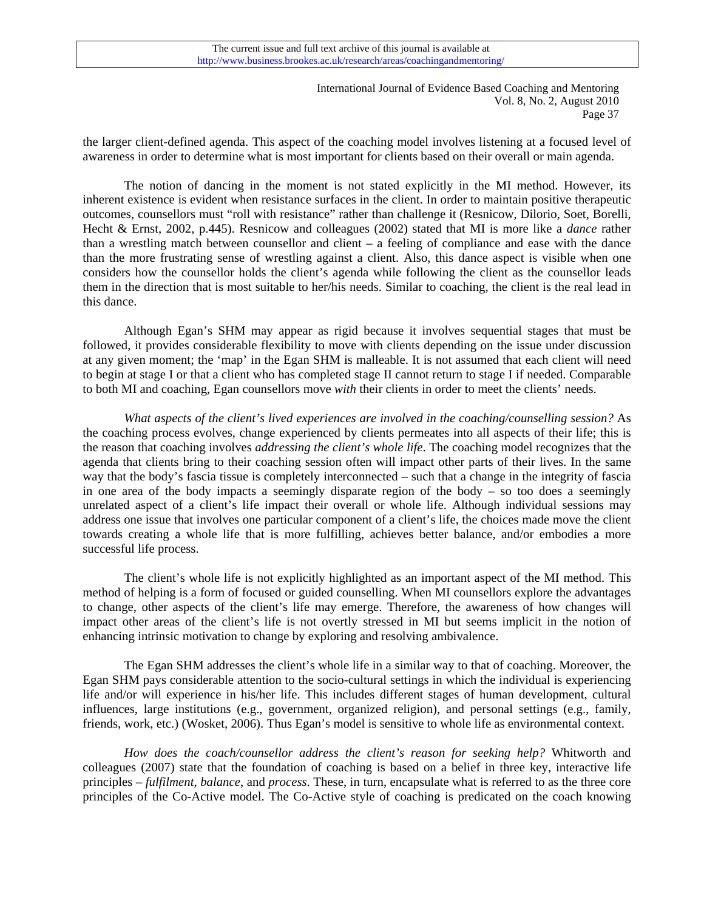the larger client-defined agenda. This aspect of the coaching model involves listening at a focused level of awareness in order to determine what is most important for clients based on their overall or main agenda.

The notion of dancing in the moment is not stated explicitly in the MI method. However, its inherent existence is evident when resistance surfaces in the client. In order to maintain positive therapeutic outcomes, counsellors must "roll with resistance" rather than challenge it (Resnicow, Dilorio, Soet, Borelli, Hecht & Ernst, 2002, p.445). Resnicow and colleagues (2002) stated that MI is more like a *dance* rather than a wrestling match between counsellor and client – a feeling of compliance and ease with the dance than the more frustrating sense of wrestling against a client. Also, this dance aspect is visible when one considers how the counsellor holds the client's agenda while following the client as the counsellor leads them in the direction that is most suitable to her/his needs. Similar to coaching, the client is the real lead in this dance.

Although Egan's SHM may appear as rigid because it involves sequential stages that must be followed, it provides considerable flexibility to move with clients depending on the issue under discussion at any given moment; the 'map' in the Egan SHM is malleable. It is not assumed that each client will need to begin at stage I or that a client who has completed stage II cannot return to stage I if needed. Comparable to both MI and coaching, Egan counsellors move *with* their clients in order to meet the clients' needs.

*What aspects of the client's lived experiences are involved in the coaching/counselling session?* As the coaching process evolves, change experienced by clients permeates into all aspects of their life; this is the reason that coaching involves *addressing the client's whole life*. The coaching model recognizes that the agenda that clients bring to their coaching session often will impact other parts of their lives. In the same way that the body's fascia tissue is completely interconnected – such that a change in the integrity of fascia in one area of the body impacts a seemingly disparate region of the body – so too does a seemingly unrelated aspect of a client's life impact their overall or whole life. Although individual sessions may address one issue that involves one particular component of a client's life, the choices made move the client towards creating a whole life that is more fulfilling, achieves better balance, and/or embodies a more successful life process.

The client's whole life is not explicitly highlighted as an important aspect of the MI method. This method of helping is a form of focused or guided counselling. When MI counsellors explore the advantages to change, other aspects of the client's life may emerge. Therefore, the awareness of how changes will impact other areas of the client's life is not overtly stressed in MI but seems implicit in the notion of enhancing intrinsic motivation to change by exploring and resolving ambivalence.

The Egan SHM addresses the client's whole life in a similar way to that of coaching. Moreover, the Egan SHM pays considerable attention to the socio-cultural settings in which the individual is experiencing life and/or will experience in his/her life. This includes different stages of human development, cultural influences, large institutions (e.g., government, organized religion), and personal settings (e.g., family, friends, work, etc.) (Wosket, 2006). Thus Egan's model is sensitive to whole life as environmental context.

*How does the coach/counsellor address the client's reason for seeking help?* Whitworth and colleagues (2007) state that the foundation of coaching is based on a belief in three key, interactive life principles – *fulfilment*, *balance*, and *process*. These, in turn, encapsulate what is referred to as the three core principles of the Co-Active model. The Co-Active style of coaching is predicated on the coach knowing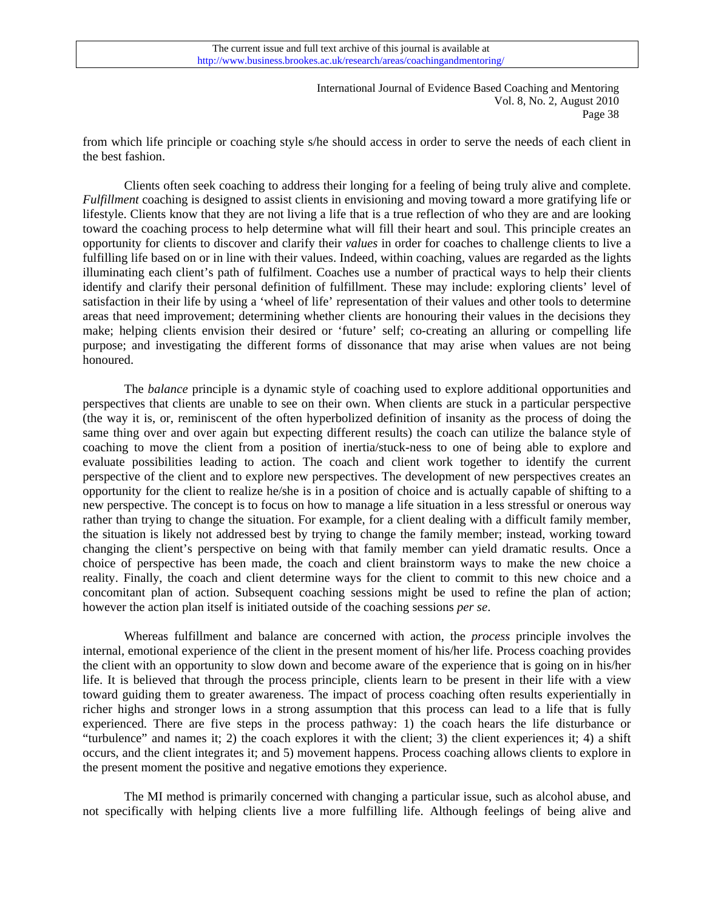from which life principle or coaching style s/he should access in order to serve the needs of each client in the best fashion.

Clients often seek coaching to address their longing for a feeling of being truly alive and complete. *Fulfillment* coaching is designed to assist clients in envisioning and moving toward a more gratifying life or lifestyle. Clients know that they are not living a life that is a true reflection of who they are and are looking toward the coaching process to help determine what will fill their heart and soul. This principle creates an opportunity for clients to discover and clarify their *values* in order for coaches to challenge clients to live a fulfilling life based on or in line with their values. Indeed, within coaching, values are regarded as the lights illuminating each client's path of fulfilment. Coaches use a number of practical ways to help their clients identify and clarify their personal definition of fulfillment. These may include: exploring clients' level of satisfaction in their life by using a 'wheel of life' representation of their values and other tools to determine areas that need improvement; determining whether clients are honouring their values in the decisions they make; helping clients envision their desired or 'future' self; co-creating an alluring or compelling life purpose; and investigating the different forms of dissonance that may arise when values are not being honoured.

The *balance* principle is a dynamic style of coaching used to explore additional opportunities and perspectives that clients are unable to see on their own. When clients are stuck in a particular perspective (the way it is, or, reminiscent of the often hyperbolized definition of insanity as the process of doing the same thing over and over again but expecting different results) the coach can utilize the balance style of coaching to move the client from a position of inertia/stuck-ness to one of being able to explore and evaluate possibilities leading to action. The coach and client work together to identify the current perspective of the client and to explore new perspectives. The development of new perspectives creates an opportunity for the client to realize he/she is in a position of choice and is actually capable of shifting to a new perspective. The concept is to focus on how to manage a life situation in a less stressful or onerous way rather than trying to change the situation. For example, for a client dealing with a difficult family member, the situation is likely not addressed best by trying to change the family member; instead, working toward changing the client's perspective on being with that family member can yield dramatic results. Once a choice of perspective has been made, the coach and client brainstorm ways to make the new choice a reality. Finally, the coach and client determine ways for the client to commit to this new choice and a concomitant plan of action. Subsequent coaching sessions might be used to refine the plan of action; however the action plan itself is initiated outside of the coaching sessions *per se*.

 Whereas fulfillment and balance are concerned with action, the *process* principle involves the internal, emotional experience of the client in the present moment of his/her life. Process coaching provides the client with an opportunity to slow down and become aware of the experience that is going on in his/her life. It is believed that through the process principle, clients learn to be present in their life with a view toward guiding them to greater awareness. The impact of process coaching often results experientially in richer highs and stronger lows in a strong assumption that this process can lead to a life that is fully experienced. There are five steps in the process pathway: 1) the coach hears the life disturbance or "turbulence" and names it; 2) the coach explores it with the client; 3) the client experiences it; 4) a shift occurs, and the client integrates it; and 5) movement happens. Process coaching allows clients to explore in the present moment the positive and negative emotions they experience.

 The MI method is primarily concerned with changing a particular issue, such as alcohol abuse, and not specifically with helping clients live a more fulfilling life. Although feelings of being alive and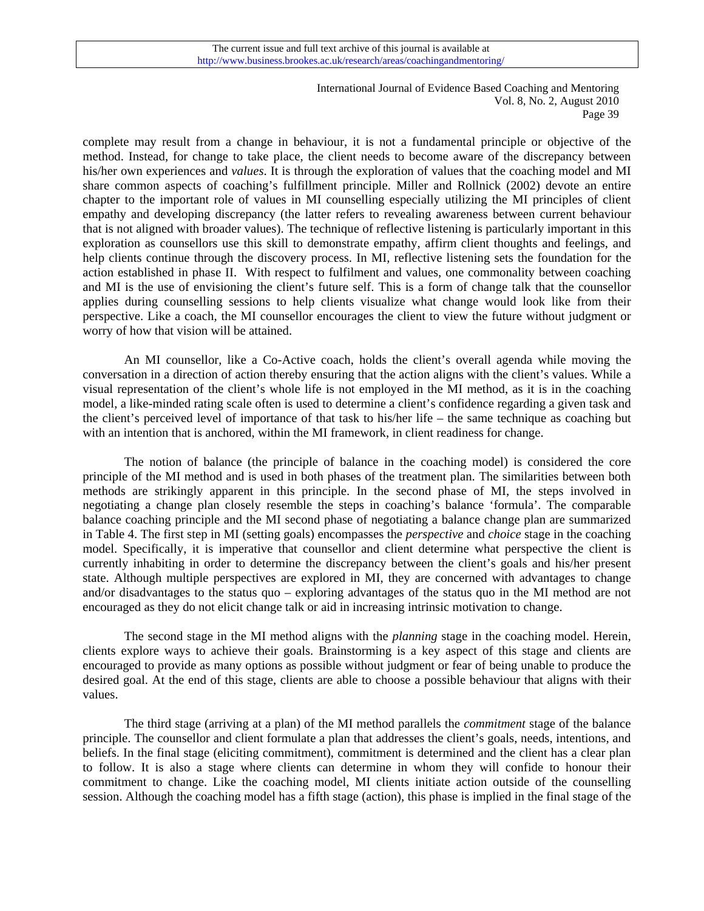complete may result from a change in behaviour, it is not a fundamental principle or objective of the method. Instead, for change to take place, the client needs to become aware of the discrepancy between his/her own experiences and *values*. It is through the exploration of values that the coaching model and MI share common aspects of coaching's fulfillment principle. Miller and Rollnick (2002) devote an entire chapter to the important role of values in MI counselling especially utilizing the MI principles of client empathy and developing discrepancy (the latter refers to revealing awareness between current behaviour that is not aligned with broader values). The technique of reflective listening is particularly important in this exploration as counsellors use this skill to demonstrate empathy, affirm client thoughts and feelings, and help clients continue through the discovery process. In MI, reflective listening sets the foundation for the action established in phase II. With respect to fulfilment and values, one commonality between coaching and MI is the use of envisioning the client's future self. This is a form of change talk that the counsellor applies during counselling sessions to help clients visualize what change would look like from their perspective. Like a coach, the MI counsellor encourages the client to view the future without judgment or worry of how that vision will be attained.

 An MI counsellor, like a Co-Active coach, holds the client's overall agenda while moving the conversation in a direction of action thereby ensuring that the action aligns with the client's values. While a visual representation of the client's whole life is not employed in the MI method, as it is in the coaching model, a like-minded rating scale often is used to determine a client's confidence regarding a given task and the client's perceived level of importance of that task to his/her life – the same technique as coaching but with an intention that is anchored, within the MI framework, in client readiness for change.

 The notion of balance (the principle of balance in the coaching model) is considered the core principle of the MI method and is used in both phases of the treatment plan. The similarities between both methods are strikingly apparent in this principle. In the second phase of MI, the steps involved in negotiating a change plan closely resemble the steps in coaching's balance 'formula'. The comparable balance coaching principle and the MI second phase of negotiating a balance change plan are summarized in Table 4. The first step in MI (setting goals) encompasses the *perspective* and *choice* stage in the coaching model. Specifically, it is imperative that counsellor and client determine what perspective the client is currently inhabiting in order to determine the discrepancy between the client's goals and his/her present state. Although multiple perspectives are explored in MI, they are concerned with advantages to change and/or disadvantages to the status quo – exploring advantages of the status quo in the MI method are not encouraged as they do not elicit change talk or aid in increasing intrinsic motivation to change.

 The second stage in the MI method aligns with the *planning* stage in the coaching model. Herein, clients explore ways to achieve their goals. Brainstorming is a key aspect of this stage and clients are encouraged to provide as many options as possible without judgment or fear of being unable to produce the desired goal. At the end of this stage, clients are able to choose a possible behaviour that aligns with their values.

 The third stage (arriving at a plan) of the MI method parallels the *commitment* stage of the balance principle. The counsellor and client formulate a plan that addresses the client's goals, needs, intentions, and beliefs. In the final stage (eliciting commitment), commitment is determined and the client has a clear plan to follow. It is also a stage where clients can determine in whom they will confide to honour their commitment to change. Like the coaching model, MI clients initiate action outside of the counselling session. Although the coaching model has a fifth stage (action), this phase is implied in the final stage of the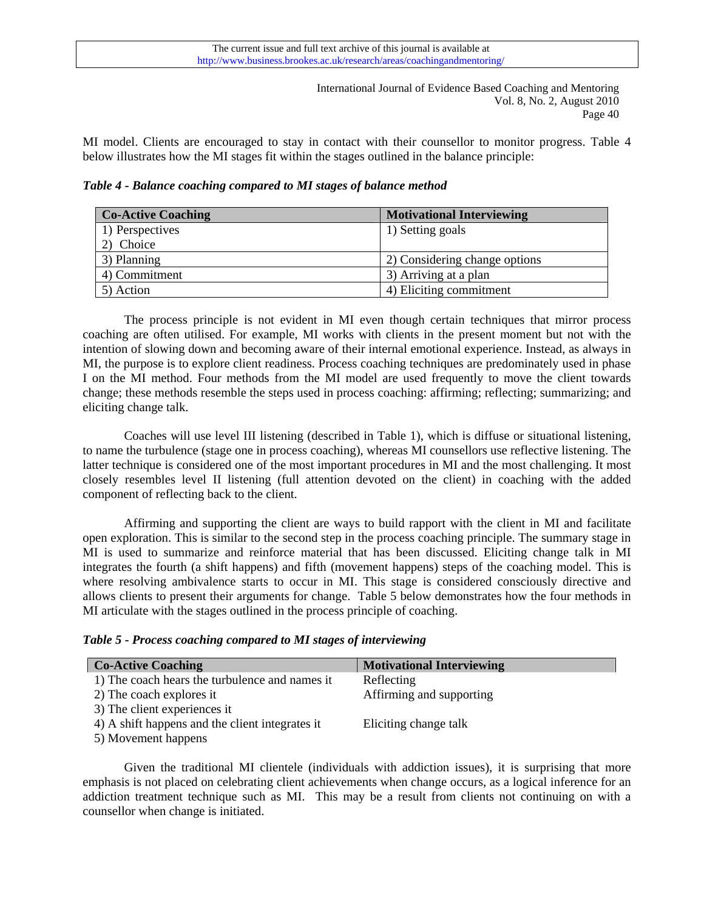MI model. Clients are encouraged to stay in contact with their counsellor to monitor progress. Table 4 below illustrates how the MI stages fit within the stages outlined in the balance principle:

*Table 4 - Balance coaching compared to MI stages of balance method* 

| <b>Co-Active Coaching</b> | <b>Motivational Interviewing</b> |  |  |
|---------------------------|----------------------------------|--|--|
| 1) Perspectives           | 1) Setting goals                 |  |  |
| 2) Choice                 |                                  |  |  |
| 3) Planning               | 2) Considering change options    |  |  |
| 4) Commitment             | 3) Arriving at a plan            |  |  |
| 5) Action                 | 4) Eliciting commitment          |  |  |

 The process principle is not evident in MI even though certain techniques that mirror process coaching are often utilised. For example, MI works with clients in the present moment but not with the intention of slowing down and becoming aware of their internal emotional experience. Instead, as always in MI, the purpose is to explore client readiness. Process coaching techniques are predominately used in phase I on the MI method. Four methods from the MI model are used frequently to move the client towards change; these methods resemble the steps used in process coaching: affirming; reflecting; summarizing; and eliciting change talk.

Coaches will use level III listening (described in Table 1), which is diffuse or situational listening, to name the turbulence (stage one in process coaching), whereas MI counsellors use reflective listening. The latter technique is considered one of the most important procedures in MI and the most challenging. It most closely resembles level II listening (full attention devoted on the client) in coaching with the added component of reflecting back to the client.

Affirming and supporting the client are ways to build rapport with the client in MI and facilitate open exploration. This is similar to the second step in the process coaching principle. The summary stage in MI is used to summarize and reinforce material that has been discussed. Eliciting change talk in MI integrates the fourth (a shift happens) and fifth (movement happens) steps of the coaching model. This is where resolving ambivalence starts to occur in MI. This stage is considered consciously directive and allows clients to present their arguments for change. Table 5 below demonstrates how the four methods in MI articulate with the stages outlined in the process principle of coaching.

|  |  |  |  | Table 5 - Process coaching compared to MI stages of interviewing |  |  |  |  |
|--|--|--|--|------------------------------------------------------------------|--|--|--|--|
|--|--|--|--|------------------------------------------------------------------|--|--|--|--|

| <b>Co-Active Coaching</b>                       | <b>Motivational Interviewing</b> |
|-------------------------------------------------|----------------------------------|
| 1) The coach hears the turbulence and names it  | Reflecting                       |
| 2) The coach explores it                        | Affirming and supporting         |
| 3) The client experiences it                    |                                  |
| 4) A shift happens and the client integrates it | Eliciting change talk            |
| 5) Movement happens                             |                                  |

 Given the traditional MI clientele (individuals with addiction issues), it is surprising that more emphasis is not placed on celebrating client achievements when change occurs, as a logical inference for an addiction treatment technique such as MI. This may be a result from clients not continuing on with a counsellor when change is initiated.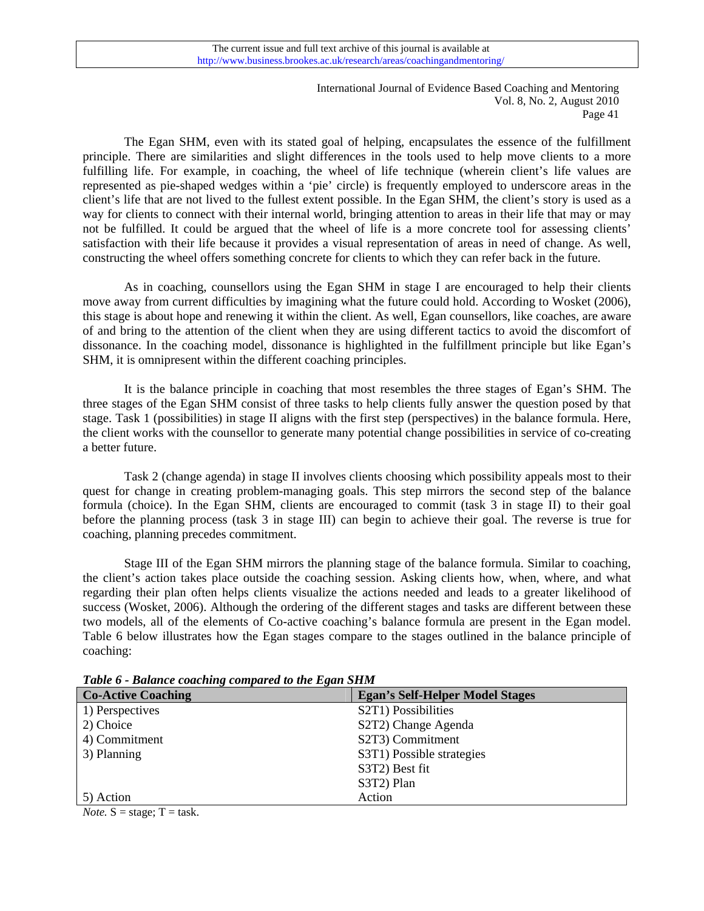The Egan SHM, even with its stated goal of helping, encapsulates the essence of the fulfillment principle. There are similarities and slight differences in the tools used to help move clients to a more fulfilling life. For example, in coaching, the wheel of life technique (wherein client's life values are represented as pie-shaped wedges within a 'pie' circle) is frequently employed to underscore areas in the client's life that are not lived to the fullest extent possible. In the Egan SHM, the client's story is used as a way for clients to connect with their internal world, bringing attention to areas in their life that may or may not be fulfilled. It could be argued that the wheel of life is a more concrete tool for assessing clients' satisfaction with their life because it provides a visual representation of areas in need of change. As well, constructing the wheel offers something concrete for clients to which they can refer back in the future.

 As in coaching, counsellors using the Egan SHM in stage I are encouraged to help their clients move away from current difficulties by imagining what the future could hold. According to Wosket (2006), this stage is about hope and renewing it within the client. As well, Egan counsellors, like coaches, are aware of and bring to the attention of the client when they are using different tactics to avoid the discomfort of dissonance. In the coaching model, dissonance is highlighted in the fulfillment principle but like Egan's SHM, it is omnipresent within the different coaching principles.

 It is the balance principle in coaching that most resembles the three stages of Egan's SHM. The three stages of the Egan SHM consist of three tasks to help clients fully answer the question posed by that stage. Task 1 (possibilities) in stage II aligns with the first step (perspectives) in the balance formula. Here, the client works with the counsellor to generate many potential change possibilities in service of co-creating a better future.

Task 2 (change agenda) in stage II involves clients choosing which possibility appeals most to their quest for change in creating problem-managing goals. This step mirrors the second step of the balance formula (choice). In the Egan SHM, clients are encouraged to commit (task 3 in stage II) to their goal before the planning process (task 3 in stage III) can begin to achieve their goal. The reverse is true for coaching, planning precedes commitment.

Stage III of the Egan SHM mirrors the planning stage of the balance formula. Similar to coaching, the client's action takes place outside the coaching session. Asking clients how, when, where, and what regarding their plan often helps clients visualize the actions needed and leads to a greater likelihood of success (Wosket, 2006). Although the ordering of the different stages and tasks are different between these two models, all of the elements of Co-active coaching's balance formula are present in the Egan model. Table 6 below illustrates how the Egan stages compare to the stages outlined in the balance principle of coaching:

| <b>Co-Active Coaching</b> | <b>Egan's Self-Helper Model Stages</b> |  |  |  |
|---------------------------|----------------------------------------|--|--|--|
| 1) Perspectives           | S2T1) Possibilities                    |  |  |  |
| 2) Choice                 | S2T2) Change Agenda                    |  |  |  |
| 4) Commitment             | S2T3) Commitment                       |  |  |  |
| 3) Planning               | S3T1) Possible strategies              |  |  |  |
|                           | S3T2) Best fit                         |  |  |  |
|                           | S3T2) Plan                             |  |  |  |
| 5) Action                 | Action                                 |  |  |  |

*Table 6 - Balance coaching compared to the Egan SHM* 

*Note.*  $S = stage$ ;  $T = task$ .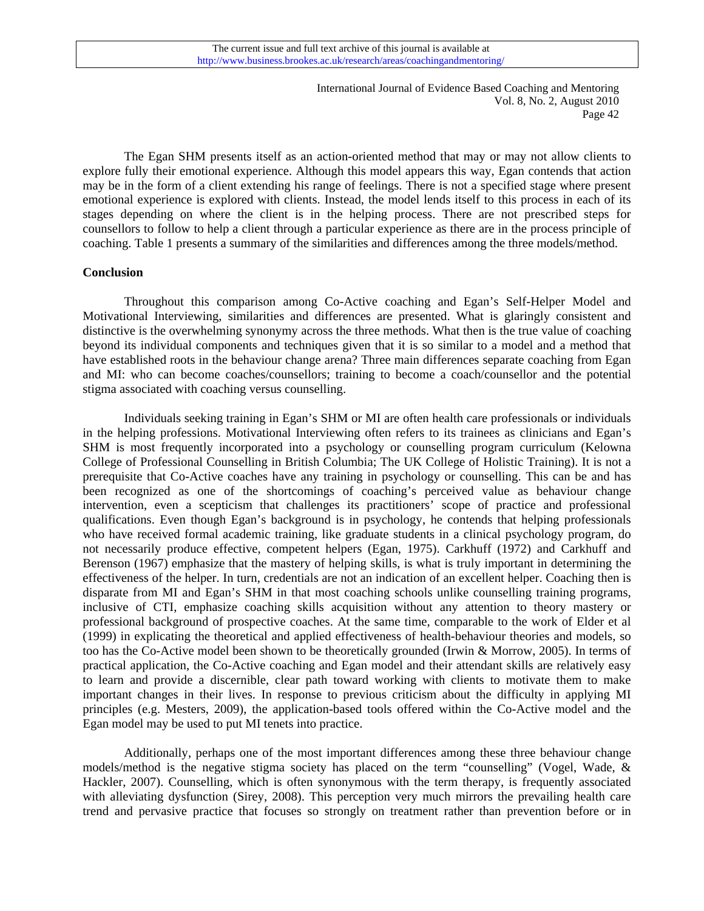The Egan SHM presents itself as an action-oriented method that may or may not allow clients to explore fully their emotional experience. Although this model appears this way, Egan contends that action may be in the form of a client extending his range of feelings. There is not a specified stage where present emotional experience is explored with clients. Instead, the model lends itself to this process in each of its stages depending on where the client is in the helping process. There are not prescribed steps for counsellors to follow to help a client through a particular experience as there are in the process principle of coaching. Table 1 presents a summary of the similarities and differences among the three models/method.

#### **Conclusion**

 Throughout this comparison among Co-Active coaching and Egan's Self-Helper Model and Motivational Interviewing, similarities and differences are presented. What is glaringly consistent and distinctive is the overwhelming synonymy across the three methods. What then is the true value of coaching beyond its individual components and techniques given that it is so similar to a model and a method that have established roots in the behaviour change arena? Three main differences separate coaching from Egan and MI: who can become coaches/counsellors; training to become a coach/counsellor and the potential stigma associated with coaching versus counselling.

Individuals seeking training in Egan's SHM or MI are often health care professionals or individuals in the helping professions. Motivational Interviewing often refers to its trainees as clinicians and Egan's SHM is most frequently incorporated into a psychology or counselling program curriculum (Kelowna College of Professional Counselling in British Columbia; The UK College of Holistic Training). It is not a prerequisite that Co-Active coaches have any training in psychology or counselling. This can be and has been recognized as one of the shortcomings of coaching's perceived value as behaviour change intervention, even a scepticism that challenges its practitioners' scope of practice and professional qualifications. Even though Egan's background is in psychology, he contends that helping professionals who have received formal academic training, like graduate students in a clinical psychology program, do not necessarily produce effective, competent helpers (Egan, 1975). Carkhuff (1972) and Carkhuff and Berenson (1967) emphasize that the mastery of helping skills, is what is truly important in determining the effectiveness of the helper. In turn, credentials are not an indication of an excellent helper. Coaching then is disparate from MI and Egan's SHM in that most coaching schools unlike counselling training programs, inclusive of CTI, emphasize coaching skills acquisition without any attention to theory mastery or professional background of prospective coaches. At the same time, comparable to the work of Elder et al (1999) in explicating the theoretical and applied effectiveness of health-behaviour theories and models, so too has the Co-Active model been shown to be theoretically grounded (Irwin & Morrow, 2005). In terms of practical application, the Co-Active coaching and Egan model and their attendant skills are relatively easy to learn and provide a discernible, clear path toward working with clients to motivate them to make important changes in their lives. In response to previous criticism about the difficulty in applying MI principles (e.g. Mesters, 2009), the application-based tools offered within the Co-Active model and the Egan model may be used to put MI tenets into practice.

Additionally, perhaps one of the most important differences among these three behaviour change models/method is the negative stigma society has placed on the term "counselling" (Vogel, Wade, & Hackler, 2007). Counselling, which is often synonymous with the term therapy, is frequently associated with alleviating dysfunction (Sirey, 2008). This perception very much mirrors the prevailing health care trend and pervasive practice that focuses so strongly on treatment rather than prevention before or in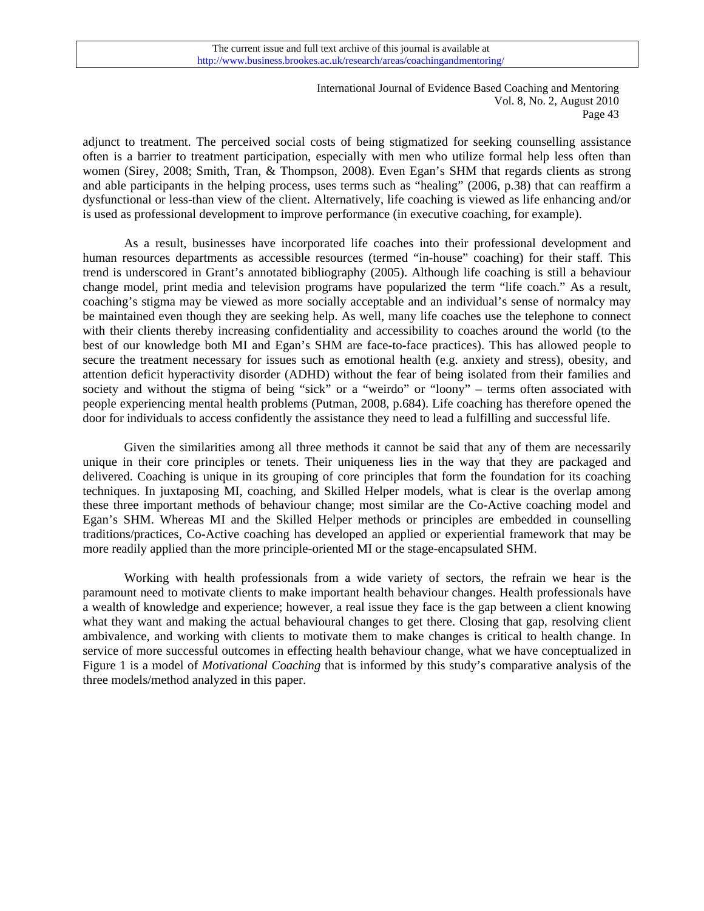adjunct to treatment. The perceived social costs of being stigmatized for seeking counselling assistance often is a barrier to treatment participation, especially with men who utilize formal help less often than women (Sirey, 2008; Smith, Tran, & Thompson, 2008). Even Egan's SHM that regards clients as strong and able participants in the helping process, uses terms such as "healing" (2006, p.38) that can reaffirm a dysfunctional or less-than view of the client. Alternatively, life coaching is viewed as life enhancing and/or is used as professional development to improve performance (in executive coaching, for example).

As a result, businesses have incorporated life coaches into their professional development and human resources departments as accessible resources (termed "in-house" coaching) for their staff. This trend is underscored in Grant's annotated bibliography (2005). Although life coaching is still a behaviour change model, print media and television programs have popularized the term "life coach." As a result, coaching's stigma may be viewed as more socially acceptable and an individual's sense of normalcy may be maintained even though they are seeking help. As well, many life coaches use the telephone to connect with their clients thereby increasing confidentiality and accessibility to coaches around the world (to the best of our knowledge both MI and Egan's SHM are face-to-face practices). This has allowed people to secure the treatment necessary for issues such as emotional health (e.g. anxiety and stress), obesity, and attention deficit hyperactivity disorder (ADHD) without the fear of being isolated from their families and society and without the stigma of being "sick" or a "weirdo" or "loony" – terms often associated with people experiencing mental health problems (Putman, 2008, p.684). Life coaching has therefore opened the door for individuals to access confidently the assistance they need to lead a fulfilling and successful life.

Given the similarities among all three methods it cannot be said that any of them are necessarily unique in their core principles or tenets. Their uniqueness lies in the way that they are packaged and delivered. Coaching is unique in its grouping of core principles that form the foundation for its coaching techniques. In juxtaposing MI, coaching, and Skilled Helper models, what is clear is the overlap among these three important methods of behaviour change; most similar are the Co-Active coaching model and Egan's SHM. Whereas MI and the Skilled Helper methods or principles are embedded in counselling traditions/practices, Co-Active coaching has developed an applied or experiential framework that may be more readily applied than the more principle-oriented MI or the stage-encapsulated SHM.

Working with health professionals from a wide variety of sectors, the refrain we hear is the paramount need to motivate clients to make important health behaviour changes. Health professionals have a wealth of knowledge and experience; however, a real issue they face is the gap between a client knowing what they want and making the actual behavioural changes to get there. Closing that gap, resolving client ambivalence, and working with clients to motivate them to make changes is critical to health change. In service of more successful outcomes in effecting health behaviour change, what we have conceptualized in Figure 1 is a model of *Motivational Coaching* that is informed by this study's comparative analysis of the three models/method analyzed in this paper.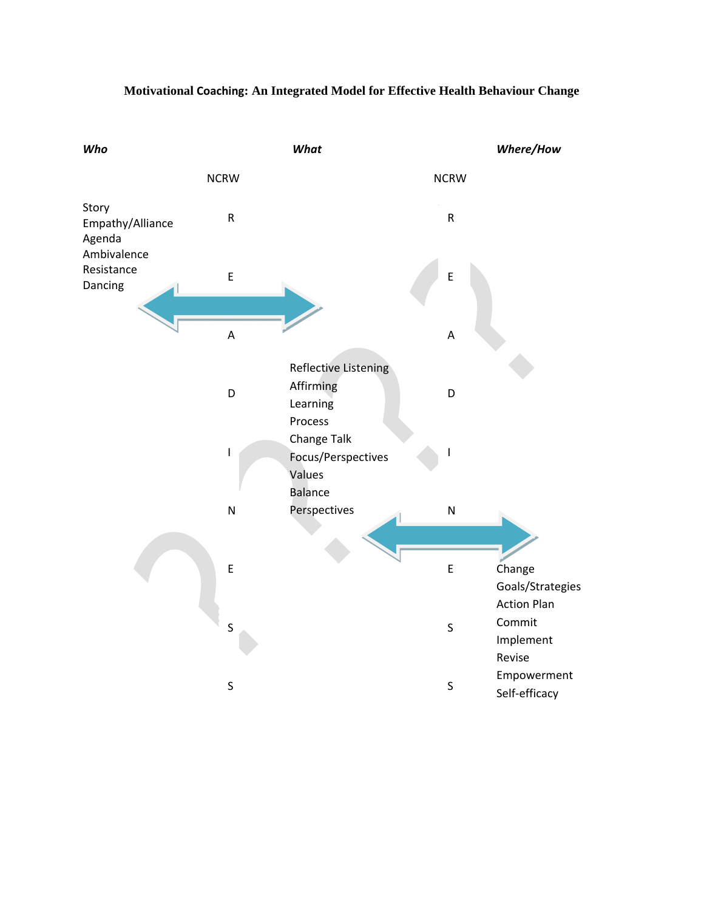

## **Motivational Coaching: An Integrated Model for Effective Health Behaviour Change**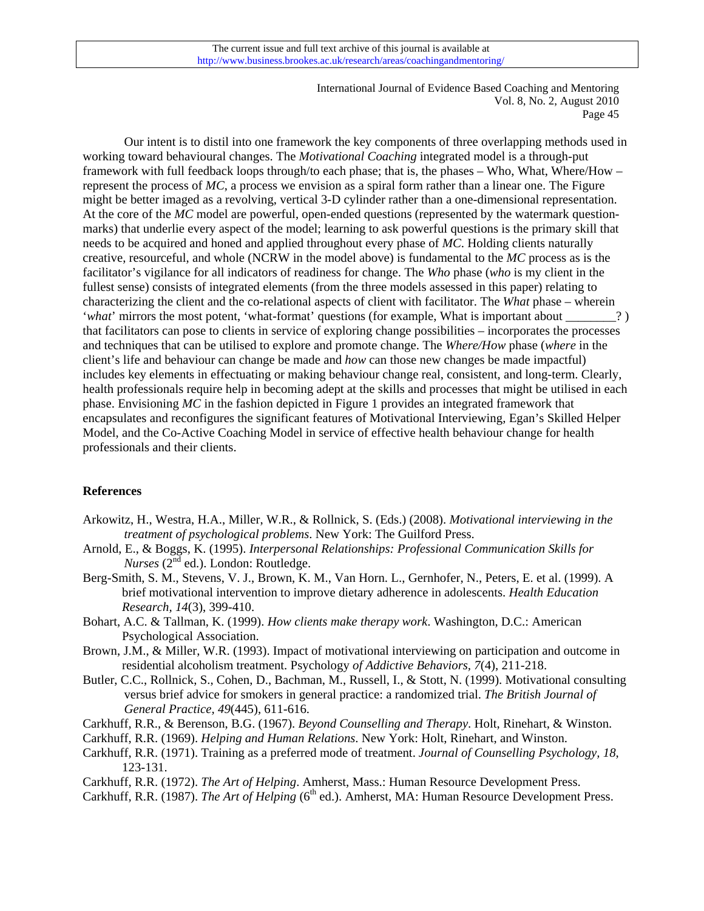Our intent is to distil into one framework the key components of three overlapping methods used in working toward behavioural changes. The *Motivational Coaching* integrated model is a through-put framework with full feedback loops through/to each phase; that is, the phases – Who, What, Where/How – represent the process of *MC*, a process we envision as a spiral form rather than a linear one. The Figure might be better imaged as a revolving, vertical 3-D cylinder rather than a one-dimensional representation. At the core of the *MC* model are powerful, open-ended questions (represented by the watermark questionmarks) that underlie every aspect of the model; learning to ask powerful questions is the primary skill that needs to be acquired and honed and applied throughout every phase of *MC*. Holding clients naturally creative, resourceful, and whole (NCRW in the model above) is fundamental to the *MC* process as is the facilitator's vigilance for all indicators of readiness for change. The *Who* phase (*who* is my client in the fullest sense) consists of integrated elements (from the three models assessed in this paper) relating to characterizing the client and the co-relational aspects of client with facilitator. The *What* phase – wherein '*what*' mirrors the most potent, 'what-format' questions (for example, What is important about \_\_\_\_\_\_\_?) that facilitators can pose to clients in service of exploring change possibilities – incorporates the processes and techniques that can be utilised to explore and promote change. The *Where/How* phase (*where* in the client's life and behaviour can change be made and *how* can those new changes be made impactful) includes key elements in effectuating or making behaviour change real, consistent, and long-term. Clearly, health professionals require help in becoming adept at the skills and processes that might be utilised in each phase. Envisioning *MC* in the fashion depicted in Figure 1 provides an integrated framework that encapsulates and reconfigures the significant features of Motivational Interviewing, Egan's Skilled Helper Model, and the Co-Active Coaching Model in service of effective health behaviour change for health professionals and their clients.

## **References**

- Arkowitz, H., Westra, H.A., Miller, W.R., & Rollnick, S. (Eds.) (2008). *Motivational interviewing in the treatment of psychological problems*. New York: The Guilford Press.
- Arnold, E., & Boggs, K. (1995). *Interpersonal Relationships: Professional Communication Skills for Nurses* (2<sup>nd</sup> ed.). London: Routledge.
- Berg-Smith, S. M., Stevens, V. J., Brown, K. M., Van Horn. L., Gernhofer, N., Peters, E. et al. (1999). A brief motivational intervention to improve dietary adherence in adolescents. *Health Education Research, 14*(3), 399-410.
- Bohart, A.C. & Tallman, K. (1999). *How clients make therapy work*. Washington, D.C.: American Psychological Association.
- Brown, J.M., & Miller, W.R. (1993). Impact of motivational interviewing on participation and outcome in residential alcoholism treatment. Psychology *of Addictive Behaviors, 7*(4), 211-218.
- Butler, C.C., Rollnick, S., Cohen, D., Bachman, M., Russell, I., & Stott, N. (1999). Motivational consulting versus brief advice for smokers in general practice: a randomized trial. *The British Journal of General Practice, 49*(445), 611-616.
- Carkhuff, R.R., & Berenson, B.G. (1967). *Beyond Counselling and Therapy*. Holt, Rinehart, & Winston.
- Carkhuff, R.R. (1969). *Helping and Human Relations*. New York: Holt, Rinehart, and Winston.
- Carkhuff, R.R. (1971). Training as a preferred mode of treatment. *Journal of Counselling Psychology, 18*, 123-131.
- Carkhuff, R.R. (1972). *The Art of Helping*. Amherst, Mass.: Human Resource Development Press.
- Carkhuff, R.R. (1987). *The Art of Helping* (6<sup>th</sup> ed.). Amherst, MA: Human Resource Development Press.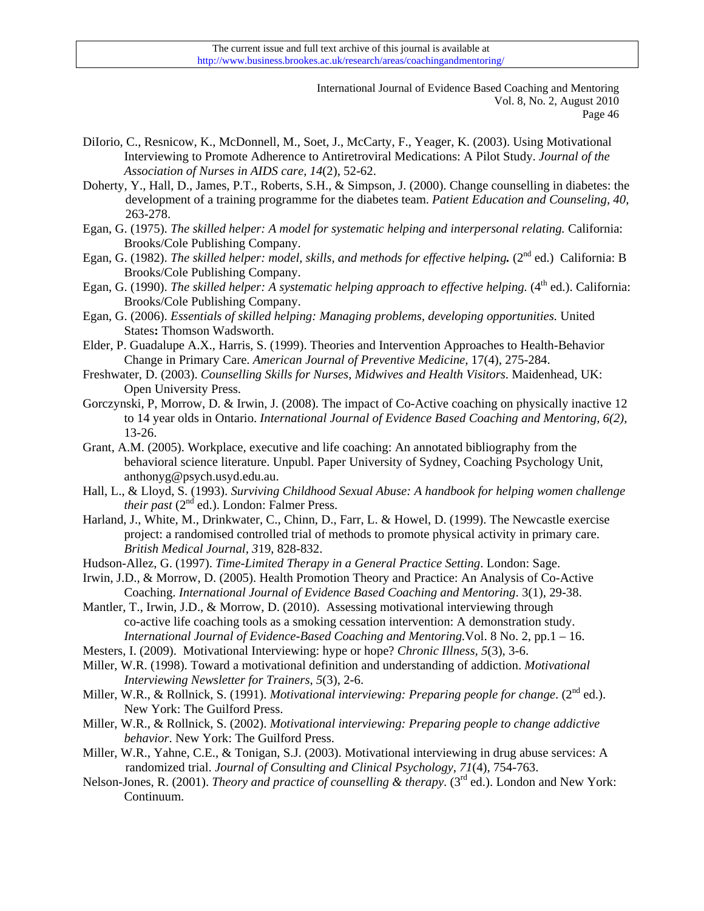- DiIorio, C., Resnicow, K., McDonnell, M., Soet, J., McCarty, F., Yeager, K. (2003). Using Motivational Interviewing to Promote Adherence to Antiretroviral Medications: A Pilot Study. *Journal of the Association of Nurses in AIDS care, 14*(2), 52-62.
- Doherty, Y., Hall, D., James, P.T., Roberts, S.H., & Simpson, J. (2000). Change counselling in diabetes: the development of a training programme for the diabetes team. *Patient Education and Counseling, 40*, 263-278.
- Egan, G. (1975). *The skilled helper: A model for systematic helping and interpersonal relating.* California: Brooks/Cole Publishing Company.
- Egan, G. (1982). *The skilled helper: model, skills, and methods for effective helping*<sup>2nd</sup> ed.) California: B Brooks/Cole Publishing Company.
- Egan, G. (1990). *The skilled helper: A systematic helping approach to effective helping.* (4<sup>th</sup> ed.). California: Brooks/Cole Publishing Company.
- Egan, G. (2006). *Essentials of skilled helping: Managing problems, developing opportunities.* United States**:** Thomson Wadsworth.
- Elder, P. Guadalupe A.X., Harris, S. (1999). Theories and Intervention Approaches to Health-Behavior Change in Primary Care. *American Journal of Preventive Medicine*, 17(4), 275-284.
- Freshwater, D. (2003). *Counselling Skills for Nurses, Midwives and Health Visitors*. Maidenhead, UK: Open University Press.
- [Gorczynski, P, Morrow, D. & Irwin, J.](http://www.business.brookes.ac.uk/research/areas/coaching&mentoring/volume/6-2-2  Gorczynski Morrow Irwin.pdf) (2008). The impact of Co-Active coaching on physically inactive 12 to 14 year olds in Ontario. *International Journal of Evidence Based Coaching and Mentoring*, *6(2),* 13-26.
- Grant, A.M. (2005). Workplace, executive and life coaching: An annotated bibliography from the behavioral science literature. Unpubl. Paper University of Sydney, Coaching Psychology Unit, anthonyg@psych.usyd.edu.au.
- Hall, L., & Lloyd, S. (1993). *Surviving Childhood Sexual Abuse: A handbook for helping women challenge their past* ( $2<sup>nd</sup>$  ed.). London: Falmer Press.
- Harland, J., White, M., Drinkwater, C., Chinn, D., Farr, L. & Howel, D. (1999). The Newcastle exercise project: a randomised controlled trial of methods to promote physical activity in primary care. *British Medical Journal, 3*19, 828-832.
- Hudson-Allez, G. (1997). *Time-Limited Therapy in a General Practice Setting*. London: Sage.
- Irwin, J.D., & Morrow, D. (2005). Health Promotion Theory and Practice: An Analysis of Co-Active Coaching. *International Journal of Evidence Based Coaching and Mentoring*. 3(1), 29-38.
- Mantler, T., Irwin, J.D., & Morrow, D. (2010). Assessing motivational interviewing through co-active life coaching tools as a smoking cessation intervention: A demonstration study. *International Journal of Evidence-Based Coaching and Mentoring.*Vol. 8 No. 2, pp.1 – 16.
- Mesters, I. (2009). Motivational Interviewing: hype or hope? *Chronic Illness, 5*(3), 3-6.
- Miller, W.R. (1998). Toward a motivational definition and understanding of addiction. *Motivational Interviewing Newsletter for Trainers, 5*(3), 2-6.
- Miller, W.R., & Rollnick, S. (1991). *Motivational interviewing: Preparing people for change*. (2<sup>nd</sup> ed.). New York: The Guilford Press.
- Miller, W.R., & Rollnick, S. (2002). *Motivational interviewing: Preparing people to change addictive behavior*. New York: The Guilford Press.
- Miller, W.R., Yahne, C.E., & Tonigan, S.J. (2003). Motivational interviewing in drug abuse services: A randomized trial. *Journal of Consulting and Clinical Psychology, 71*(4), 754-763.
- Nelson-Jones, R. (2001). *Theory and practice of counselling & therapy*. (3<sup>rd</sup> ed.). London and New York: Continuum.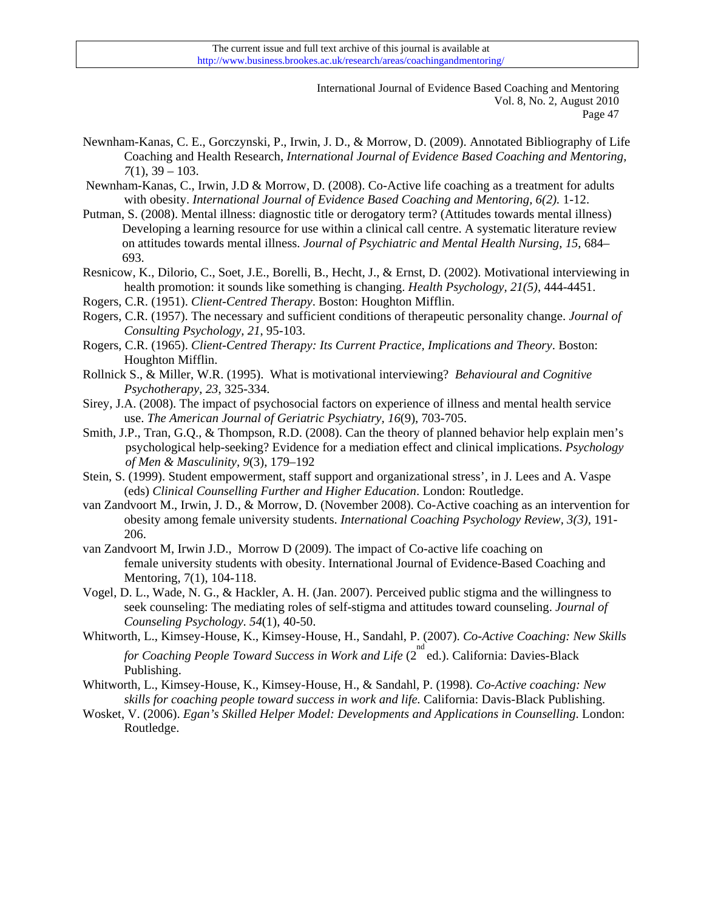- Newnham-Kanas, C. E., Gorczynski, P., Irwin, J. D., & Morrow, D. (2009). Annotated Bibliography of Life Coaching and Health Research, *International Journal of Evidence Based Coaching and Mentoring, 7*(1), 39 – 103.
- [Newnham-Kanas, C., Irwin, J.D & Morrow, D.](http://www.business.brookes.ac.uk/research/areas/coaching&mentoring/volume/6-2-1  Newnham-Kanas Irwin Morrow.pdf) (2008). Co-Active life coaching as a treatment for adults with obesity. *International Journal of Evidence Based Coaching and Mentoring, 6(2).* 1-12.
- Putman, S. (2008). Mental illness: diagnostic title or derogatory term? (Attitudes towards mental illness) Developing a learning resource for use within a clinical call centre. A systematic literature review on attitudes towards mental illness. *Journal of Psychiatric and Mental Health Nursing, 15*, 684– 693.
- Resnicow, K., Dilorio, C., Soet, J.E., Borelli, B., Hecht, J., & Ernst, D. (2002). Motivational interviewing in health promotion: it sounds like something is changing. *Health Psychology, 21(5),* 444-4451.
- Rogers, C.R. (1951). *Client-Centred Therapy*. Boston: Houghton Mifflin.
- Rogers, C.R. (1957). The necessary and sufficient conditions of therapeutic personality change. *Journal of Consulting Psychology, 21*, 95-103.
- Rogers, C.R. (1965). *Client-Centred Therapy: Its Current Practice, Implications and Theory*. Boston: Houghton Mifflin.
- Rollnick S., & Miller, W.R. (1995). What is motivational interviewing? *Behavioural and Cognitive Psychotherapy*, *23*, 325-334.
- Sirey, J.A. (2008). The impact of psychosocial factors on experience of illness and mental health service use. *The American Journal of Geriatric Psychiatry, 16*(9), 703-705.
- Smith, J.P., Tran, G.Q., & Thompson, R.D. (2008). Can the theory of planned behavior help explain men's psychological help-seeking? Evidence for a mediation effect and clinical implications. *Psychology of Men & Masculinity, 9*(3), 179–192
- Stein, S. (1999). Student empowerment, staff support and organizational stress', in J. Lees and A. Vaspe (eds) *Clinical Counselling Further and Higher Education*. London: Routledge.
- van Zandvoort M., Irwin, J. D., & Morrow, D. (November 2008). Co-Active coaching as an intervention for obesity among female university students. *International Coaching Psychology Review, 3(3),* 191- 206.
- van Zandvoort M, Irwin J.D., Morrow D (2009). The impact of Co-active life coaching on female university students with obesity. International Journal of Evidence-Based Coaching and Mentoring, 7(1), 104-118.
- Vogel, D. L., Wade, N. G., & Hackler, A. H. (Jan. 2007). Perceived public stigma and the willingness to seek counseling: The mediating roles of self-stigma and attitudes toward counseling. *Journal of Counseling Psychology*. *54*(1), 40-50.
- Whitworth, L., Kimsey-House, K., Kimsey-House, H., Sandahl, P. (2007). *Co-Active Coaching: New Skills*  for Coaching People Toward Success in Work and Life (2<sup>nd</sup> ed.). California: Davies-Black Publishing.
- Whitworth, L., Kimsey-House, K., Kimsey-House, H., & Sandahl, P. (1998). *Co-Active coaching: New skills for coaching people toward success in work and life.* California: Davis-Black Publishing.
- Wosket, V. (2006). *Egan's Skilled Helper Model: Developments and Applications in Counselling*. London: Routledge.